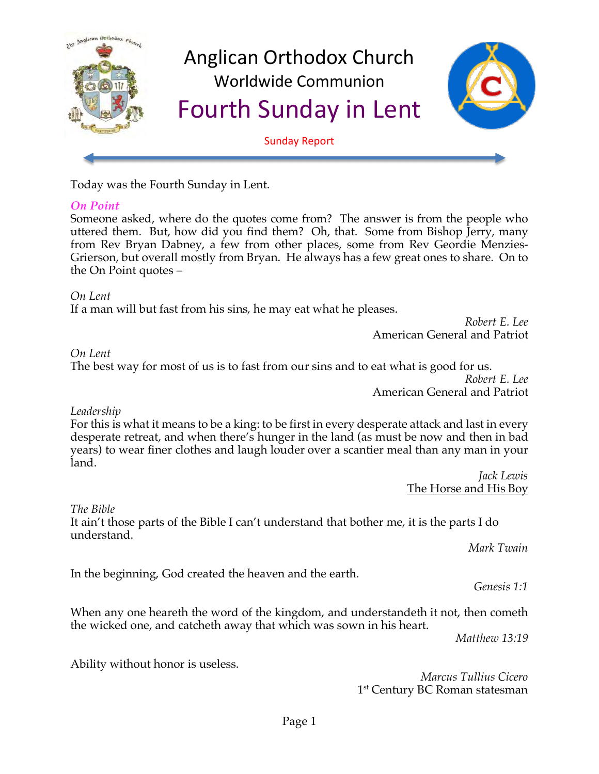

Today was the Fourth Sunday in Lent.

## *On Point*

Someone asked, where do the quotes come from? The answer is from the people who uttered them. But, how did you find them? Oh, that. Some from Bishop Jerry, many from Rev Bryan Dabney, a few from other places, some from Rev Geordie Menzies-Grierson, but overall mostly from Bryan. He always has a few great ones to share. On to the On Point quotes –

*On Lent* If a man will but fast from his sins, he may eat what he pleases.

> *Robert E. Lee* American General and Patriot

*On Lent*

The best way for most of us is to fast from our sins and to eat what is good for us. *Robert E. Lee*

American General and Patriot

## *Leadership*

For this is what it means to be a king: to be first in every desperate attack and last in every desperate retreat, and when there's hunger in the land (as must be now and then in bad years) to wear finer clothes and laugh louder over a scantier meal than any man in your land.

*Jack Lewis* The Horse and His Boy

*The Bible*

It ain't those parts of the Bible I can't understand that bother me, it is the parts I do understand.

*Mark Twain*

In the beginning, God created the heaven and the earth.

*Genesis 1:1*

When any one heareth the word of the kingdom, and understandeth it not, then cometh the wicked one, and catcheth away that which was sown in his heart.

*Matthew 13:19*

Ability without honor is useless.

*Marcus Tullius Cicero* 1<sup>st</sup> Century BC Roman statesman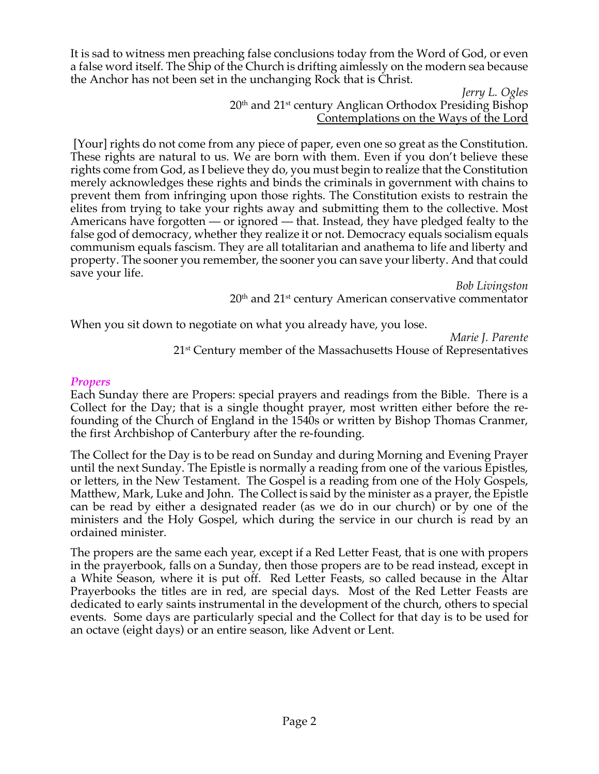It is sad to witness men preaching false conclusions today from the Word of God, or even a false word itself. The Ship of the Church is drifting aimlessly on the modern sea because the Anchor has not been set in the unchanging Rock that is Christ.

> *Jerry L. Ogles*  $20<sup>th</sup>$  and  $21<sup>st</sup>$  century Anglican Orthodox Presiding Bishop Contemplations on the Ways of the Lord

[Your] rights do not come from any piece of paper, even one so great as the Constitution. These rights are natural to us. We are born with them. Even if you don't believe these rights come from God, as I believe they do, you must begin to realize that the Constitution merely acknowledges these rights and binds the criminals in government with chains to prevent them from infringing upon those rights. The Constitution exists to restrain the elites from trying to take your rights away and submitting them to the collective. Most Americans have forgotten — or ignored — that. Instead, they have pledged fealty to the false god of democracy, whether they realize it or not. Democracy equals socialism equals communism equals fascism. They are all totalitarian and anathema to life and liberty and property. The sooner you remember, the sooner you can save your liberty. And that could save your life.

> *Bob Livingston*  $20<sup>th</sup>$  and  $21<sup>st</sup>$  century American conservative commentator

When you sit down to negotiate on what you already have, you lose.

*Marie J. Parente*

21<sup>st</sup> Century member of the Massachusetts House of Representatives

## *Propers*

Each Sunday there are Propers: special prayers and readings from the Bible. There is a Collect for the Day; that is a single thought prayer, most written either before the refounding of the Church of England in the 1540s or written by Bishop Thomas Cranmer, the first Archbishop of Canterbury after the re-founding.

The Collect for the Day is to be read on Sunday and during Morning and Evening Prayer until the next Sunday. The Epistle is normally a reading from one of the various Epistles, or letters, in the New Testament. The Gospel is a reading from one of the Holy Gospels, Matthew, Mark, Luke and John. The Collect is said by the minister as a prayer, the Epistle can be read by either a designated reader (as we do in our church) or by one of the ministers and the Holy Gospel, which during the service in our church is read by an ordained minister.

The propers are the same each year, except if a Red Letter Feast, that is one with propers in the prayerbook, falls on a Sunday, then those propers are to be read instead, except in a White Season, where it is put off. Red Letter Feasts, so called because in the Altar Prayerbooks the titles are in red, are special days. Most of the Red Letter Feasts are dedicated to early saints instrumental in the development of the church, others to special events. Some days are particularly special and the Collect for that day is to be used for an octave (eight days) or an entire season, like Advent or Lent.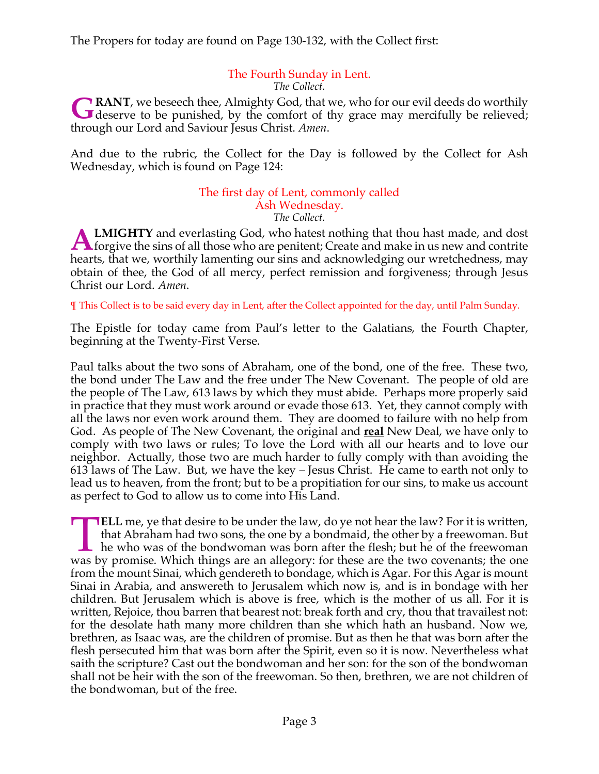The Propers for today are found on Page 130-132, with the Collect first:

#### The Fourth Sunday in Lent. *The Collect.*

**RANT**, we beseech thee, Almighty God, that we, who for our evil deeds do worthily GRANT, we beseech thee, Almighty God, that we, who for our evil deeds do worthily deserve to be punished, by the comfort of thy grace may mercifully be relieved; through our Lord and Saviour Jesus Christ. *Amen*.

And due to the rubric, the Collect for the Day is followed by the Collect for Ash Wednesday, which is found on Page 124:

#### The first day of Lent, commonly called Ash Wednesday. *The Collect.*

**LMIGHTY** and everlasting God, who hatest nothing that thou hast made, and dost **ALMIGHTY** and everlasting God, who hatest nothing that thou hast made, and dost forgive the sins of all those who are penitent; Create and make in us new and contrite the sins of all those who are penitent; Create and mak hearts, that we, worthily lamenting our sins and acknowledging our wretchedness, may obtain of thee, the God of all mercy, perfect remission and forgiveness; through Jesus Christ our Lord. *Amen*.

¶ This Collect is to be said every day in Lent, after the Collect appointed for the day, until Palm Sunday.

The Epistle for today came from Paul's letter to the Galatians, the Fourth Chapter, beginning at the Twenty-First Verse.

Paul talks about the two sons of Abraham, one of the bond, one of the free. These two, the bond under The Law and the free under The New Covenant. The people of old are the people of The Law, 613 laws by which they must abide. Perhaps more properly said in practice that they must work around or evade those 613. Yet, they cannot comply with all the laws nor even work around them. They are doomed to failure with no help from God. As people of The New Covenant, the original and **real** New Deal, we have only to comply with two laws or rules; To love the Lord with all our hearts and to love our neighbor. Actually, those two are much harder to fully comply with than avoiding the 613 laws of The Law. But, we have the key – Jesus Christ. He came to earth not only to lead us to heaven, from the front; but to be a propitiation for our sins, to make us account as perfect to God to allow us to come into His Land.

**ELL** me, ye that desire to be under the law, do ye not hear the law? For it is written, that Abraham had two sons, the one by a bondmaid, the other by a freewoman. But  $\mathsf{\mathsf{L}}$  he who was of the bondwoman was born after the flesh; but he of the freewoman **ELL** me, ye that desire to be under the law, do ye not hear the law? For it is written, that Abraham had two sons, the one by a bondmaid, the other by a freewoman. But he who was of the bondwoman was born after the flesh; from the mount Sinai, which gendereth to bondage, which is Agar. For this Agar is mount Sinai in Arabia, and answereth to Jerusalem which now is, and is in bondage with her children. But Jerusalem which is above is free, which is the mother of us all. For it is written, Rejoice, thou barren that bearest not: break forth and cry, thou that travailest not: for the desolate hath many more children than she which hath an husband. Now we, brethren, as Isaac was, are the children of promise. But as then he that was born after the flesh persecuted him that was born after the Spirit, even so it is now. Nevertheless what saith the scripture? Cast out the bondwoman and her son: for the son of the bondwoman shall not be heir with the son of the freewoman. So then, brethren, we are not children of the bondwoman, but of the free.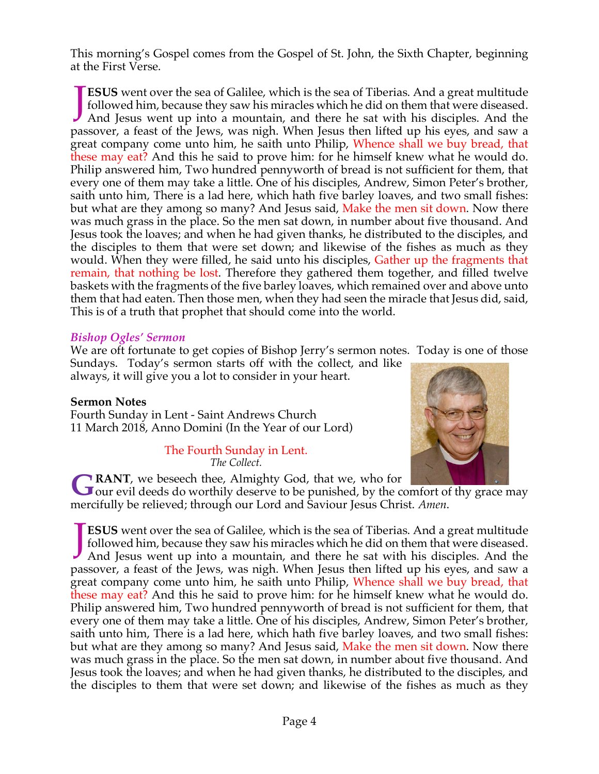This morning's Gospel comes from the Gospel of St. John, the Sixth Chapter, beginning at the First Verse.

**ESUS** went over the sea of Galilee, which is the sea of Tiberias. And a great multitude followed him, because they saw his miracles which he did on them that were diseased. **TESUS** went over the sea of Galilee, which is the sea of Tiberias. And a great multitude followed him, because they saw his miracles which he did on them that were diseased. And Jesus went up into a mountain, and there he passover, a feast of the Jews, was nigh. When Jesus then lifted up his eyes, and saw a great company come unto him, he saith unto Philip, Whence shall we buy bread, that these may eat? And this he said to prove him: for he himself knew what he would do. Philip answered him, Two hundred pennyworth of bread is not sufficient for them, that every one of them may take a little. One of his disciples, Andrew, Simon Peter's brother, saith unto him, There is a lad here, which hath five barley loaves, and two small fishes: but what are they among so many? And Jesus said, Make the men sit down. Now there was much grass in the place. So the men sat down, in number about five thousand. And Jesus took the loaves; and when he had given thanks, he distributed to the disciples, and the disciples to them that were set down; and likewise of the fishes as much as they would. When they were filled, he said unto his disciples, Gather up the fragments that remain, that nothing be lost. Therefore they gathered them together, and filled twelve baskets with the fragments of the five barley loaves, which remained over and above unto them that had eaten. Then those men, when they had seen the miracle that Jesus did, said, This is of a truth that prophet that should come into the world.

#### *Bishop Ogles' Sermon*

We are oft fortunate to get copies of Bishop Jerry's sermon notes. Today is one of those

Sundays. Today's sermon starts off with the collect, and like always, it will give you a lot to consider in your heart.

### **Sermon Notes**

Fourth Sunday in Lent - Saint Andrews Church 11 March 2018, Anno Domini (In the Year of our Lord)

> The Fourth Sunday in Lent. *The Collect.*

**RANT**, we beseech thee, Almighty God, that we, who for

**GRANT**, we beseech thee, Almighty God, that we, who for our evil deeds do worthily deserve to be punished, by the comfort of thy grace may if the comparison of the state of the state of the state of the state of the state mercifully be relieved; through our Lord and Saviour Jesus Christ. *Amen*.

**ESUS** went over the sea of Galilee, which is the sea of Tiberias. And a great multitude followed him, because they saw his miracles which he did on them that were diseased. **TESUS** went over the sea of Galilee, which is the sea of Tiberias. And a great multitude followed him, because they saw his miracles which he did on them that were diseased. And Jesus went up into a mountain, and there he passover, a feast of the Jews, was nigh. When Jesus then lifted up his eyes, and saw a great company come unto him, he saith unto Philip, Whence shall we buy bread, that these may eat? And this he said to prove him: for he himself knew what he would do. Philip answered him, Two hundred pennyworth of bread is not sufficient for them, that every one of them may take a little. One of his disciples, Andrew, Simon Peter's brother, saith unto him, There is a lad here, which hath five barley loaves, and two small fishes: but what are they among so many? And Jesus said, Make the men sit down. Now there was much grass in the place. So the men sat down, in number about five thousand. And Jesus took the loaves; and when he had given thanks, he distributed to the disciples, and the disciples to them that were set down; and likewise of the fishes as much as they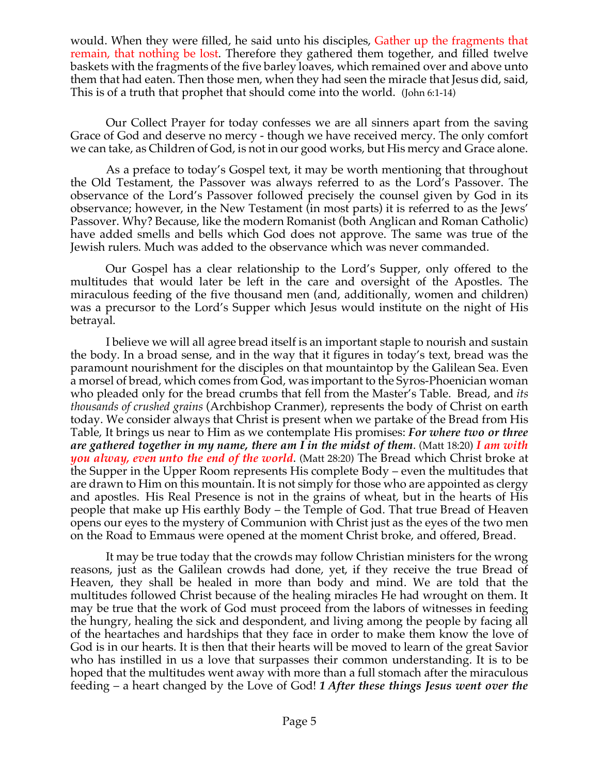would. When they were filled, he said unto his disciples, Gather up the fragments that remain, that nothing be lost. Therefore they gathered them together, and filled twelve baskets with the fragments of the five barley loaves, which remained over and above unto them that had eaten. Then those men, when they had seen the miracle that Jesus did, said, This is of a truth that prophet that should come into the world. (John 6:1-14)

Our Collect Prayer for today confesses we are all sinners apart from the saving Grace of God and deserve no mercy - though we have received mercy. The only comfort we can take, as Children of God, is not in our good works, but His mercy and Grace alone.

As a preface to today's Gospel text, it may be worth mentioning that throughout the Old Testament, the Passover was always referred to as the Lord's Passover. The observance of the Lord's Passover followed precisely the counsel given by God in its observance; however, in the New Testament (in most parts) it is referred to as the Jews' Passover. Why? Because, like the modern Romanist (both Anglican and Roman Catholic) have added smells and bells which God does not approve. The same was true of the Jewish rulers. Much was added to the observance which was never commanded.

Our Gospel has a clear relationship to the Lord's Supper, only offered to the multitudes that would later be left in the care and oversight of the Apostles. The miraculous feeding of the five thousand men (and, additionally, women and children) was a precursor to the Lord's Supper which Jesus would institute on the night of His betrayal.

I believe we will all agree bread itself is an important staple to nourish and sustain the body. In a broad sense, and in the way that it figures in today's text, bread was the paramount nourishment for the disciples on that mountaintop by the Galilean Sea. Even a morsel of bread, which comes from God, was important to the Syros-Phoenician woman who pleaded only for the bread crumbs that fell from the Master's Table. Bread, and *its thousands of crushed grains* (Archbishop Cranmer), represents the body of Christ on earth today. We consider always that Christ is present when we partake of the Bread from His Table, It brings us near to Him as we contemplate His promises: *For where two or three are gathered together in my name, there am I in the midst of them*. (Matt 18:20) *I am with you alway, even unto the end of the world*. (Matt 28:20) The Bread which Christ broke at the Supper in the Upper Room represents His complete Body – even the multitudes that are drawn to Him on this mountain. It is not simply for those who are appointed as clergy and apostles. His Real Presence is not in the grains of wheat, but in the hearts of His people that make up His earthly Body – the Temple of God. That true Bread of Heaven opens our eyes to the mystery of Communion with Christ just as the eyes of the two men on the Road to Emmaus were opened at the moment Christ broke, and offered, Bread.

It may be true today that the crowds may follow Christian ministers for the wrong reasons, just as the Galilean crowds had done, yet, if they receive the true Bread of Heaven, they shall be healed in more than body and mind. We are told that the multitudes followed Christ because of the healing miracles He had wrought on them. It may be true that the work of God must proceed from the labors of witnesses in feeding the hungry, healing the sick and despondent, and living among the people by facing all of the heartaches and hardships that they face in order to make them know the love of God is in our hearts. It is then that their hearts will be moved to learn of the great Savior who has instilled in us a love that surpasses their common understanding. It is to be hoped that the multitudes went away with more than a full stomach after the miraculous feeding – a heart changed by the Love of God! *1 After these things Jesus went over the*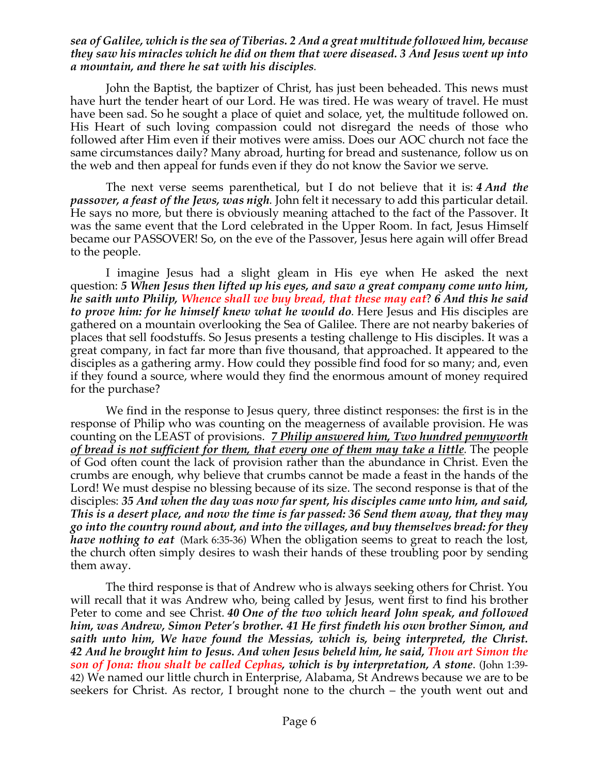#### *sea of Galilee, which is the sea of Tiberias. 2 And a great multitude followed him, because they saw his miracles which he did on them that were diseased. 3 And Jesus went up into a mountain, and there he sat with his disciples.*

John the Baptist, the baptizer of Christ, has just been beheaded. This news must have hurt the tender heart of our Lord. He was tired. He was weary of travel. He must have been sad. So he sought a place of quiet and solace, yet, the multitude followed on. His Heart of such loving compassion could not disregard the needs of those who followed after Him even if their motives were amiss. Does our AOC church not face the same circumstances daily? Many abroad, hurting for bread and sustenance, follow us on the web and then appeal for funds even if they do not know the Savior we serve.

The next verse seems parenthetical, but I do not believe that it is: *4 And the passover, a feast of the Jews, was nigh.* John felt it necessary to add this particular detail. He says no more, but there is obviously meaning attached to the fact of the Passover. It was the same event that the Lord celebrated in the Upper Room. In fact, Jesus Himself became our PASSOVER! So, on the eve of the Passover, Jesus here again will offer Bread to the people.

I imagine Jesus had a slight gleam in His eye when He asked the next question: *5 When Jesus then lifted up his eyes, and saw a great company come unto him, he saith unto Philip, Whence shall we buy bread, that these may eat*? *6 And this he said to prove him: for he himself knew what he would do.* Here Jesus and His disciples are gathered on a mountain overlooking the Sea of Galilee. There are not nearby bakeries of places that sell foodstuffs. So Jesus presents a testing challenge to His disciples. It was a great company, in fact far more than five thousand, that approached. It appeared to the disciples as a gathering army. How could they possible find food for so many; and, even if they found a source, where would they find the enormous amount of money required for the purchase?

We find in the response to Jesus query, three distinct responses: the first is in the response of Philip who was counting on the meagerness of available provision. He was counting on the LEAST of provisions. *7 Philip answered him, Two hundred pennyworth of bread is not sufficient for them, that every one of them may take a little.* The people of God often count the lack of provision rather than the abundance in Christ. Even the crumbs are enough, why believe that crumbs cannot be made a feast in the hands of the Lord! We must despise no blessing because of its size. The second response is that of the disciples: *35 And when the day was now far spent, his disciples came unto him, and said, This is a desert place, and now the time is far passed: 36 Send them away, that they may go into the country round about, and into the villages, and buy themselves bread: for they have nothing to eat* (Mark 6:35-36) When the obligation seems to great to reach the lost, the church often simply desires to wash their hands of these troubling poor by sending them away.

The third response is that of Andrew who is always seeking others for Christ. You will recall that it was Andrew who, being called by Jesus, went first to find his brother Peter to come and see Christ. *40 One of the two which heard John speak, and followed him, was Andrew, Simon Peter's brother. 41 He first findeth his own brother Simon, and saith unto him, We have found the Messias, which is, being interpreted, the Christ. 42 And he brought him to Jesus. And when Jesus beheld him, he said, Thou art Simon the son of Jona: thou shalt be called Cephas, which is by interpretation, A stone*. (John 1:39- 42) We named our little church in Enterprise, Alabama, St Andrews because we are to be seekers for Christ. As rector, I brought none to the church – the youth went out and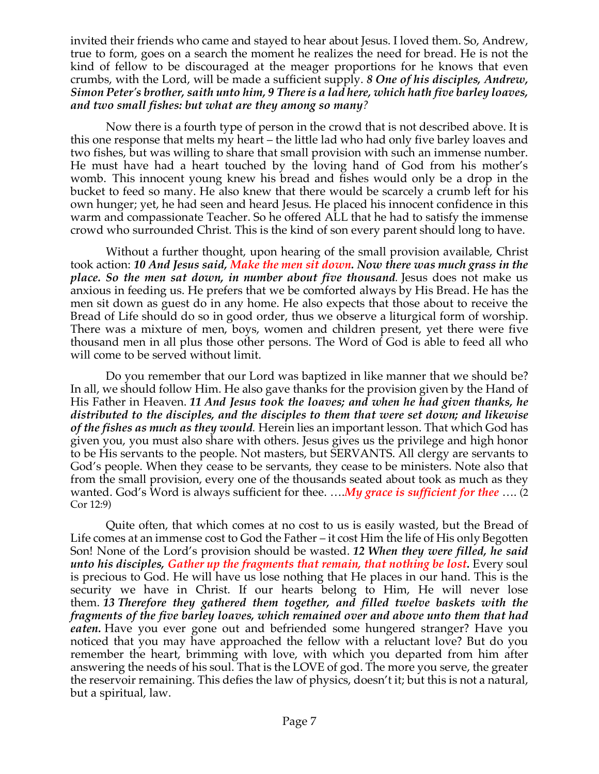invited their friends who came and stayed to hear about Jesus. I loved them. So, Andrew, true to form, goes on a search the moment he realizes the need for bread. He is not the kind of fellow to be discouraged at the meager proportions for he knows that even crumbs, with the Lord, will be made a sufficient supply. *8 One of his disciples, Andrew, Simon Peter's brother, saith unto him, 9 There is a lad here, which hath five barley loaves, and two small fishes: but what are they among so many?*

Now there is a fourth type of person in the crowd that is not described above. It is this one response that melts my heart – the little lad who had only five barley loaves and two fishes, but was willing to share that small provision with such an immense number. He must have had a heart touched by the loving hand of God from his mother's womb. This innocent young knew his bread and fishes would only be a drop in the bucket to feed so many. He also knew that there would be scarcely a crumb left for his own hunger; yet, he had seen and heard Jesus. He placed his innocent confidence in this warm and compassionate Teacher. So he offered ALL that he had to satisfy the immense crowd who surrounded Christ. This is the kind of son every parent should long to have.

Without a further thought, upon hearing of the small provision available, Christ took action: *10 And Jesus said, Make the men sit down. Now there was much grass in the place. So the men sat down, in number about five thousand.* Jesus does not make us anxious in feeding us. He prefers that we be comforted always by His Bread. He has the men sit down as guest do in any home. He also expects that those about to receive the Bread of Life should do so in good order, thus we observe a liturgical form of worship. There was a mixture of men, boys, women and children present, yet there were five thousand men in all plus those other persons. The Word of God is able to feed all who will come to be served without limit.

Do you remember that our Lord was baptized in like manner that we should be? In all, we should follow Him. He also gave thanks for the provision given by the Hand of His Father in Heaven. *11 And Jesus took the loaves; and when he had given thanks, he distributed to the disciples, and the disciples to them that were set down; and likewise of the fishes as much as they would.* Herein lies an important lesson. That which God has given you, you must also share with others. Jesus gives us the privilege and high honor to be His servants to the people. Not masters, but SERVANTS. All clergy are servants to God's people. When they cease to be servants, they cease to be ministers. Note also that from the small provision, every one of the thousands seated about took as much as they wanted. God's Word is always sufficient for thee. ….*My grace is sufficient for thee* …. (2 Cor 12:9)

Quite often, that which comes at no cost to us is easily wasted, but the Bread of Life comes at an immense cost to God the Father – it cost Him the life of His only Begotten Son! None of the Lord's provision should be wasted. *12 When they were filled, he said unto his disciples, Gather up the fragments that remain, that nothing be lost.* Every soul is precious to God. He will have us lose nothing that He places in our hand. This is the security we have in Christ. If our hearts belong to Him, He will never lose them. *13 Therefore they gathered them together, and filled twelve baskets with the fragments of the five barley loaves, which remained over and above unto them that had eaten.* Have you ever gone out and befriended some hungered stranger? Have you noticed that you may have approached the fellow with a reluctant love? But do you remember the heart, brimming with love, with which you departed from him after answering the needs of his soul. That is the LOVE of god. The more you serve, the greater the reservoir remaining. This defies the law of physics, doesn't it; but this is not a natural, but a spiritual, law.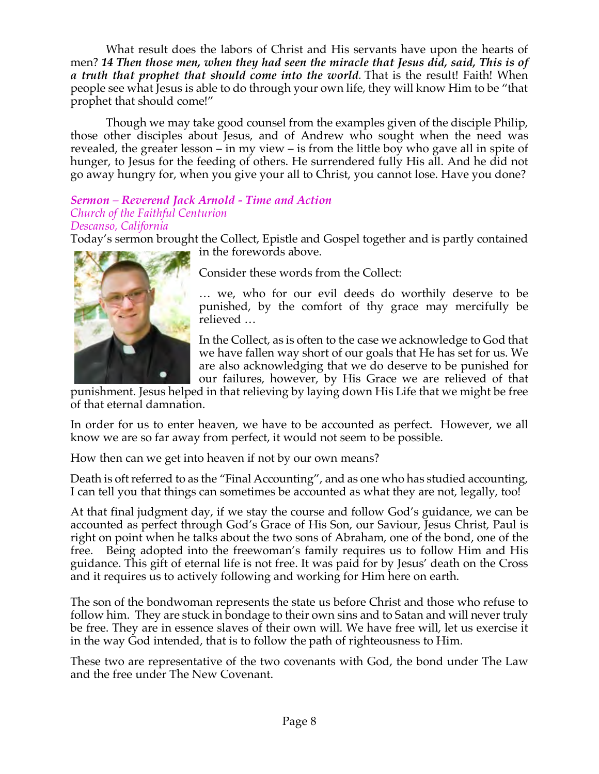What result does the labors of Christ and His servants have upon the hearts of men? *14 Then those men, when they had seen the miracle that Jesus did, said, This is of a truth that prophet that should come into the world.* That is the result! Faith! When people see what Jesus is able to do through your own life, they will know Him to be "that prophet that should come!"

Though we may take good counsel from the examples given of the disciple Philip, those other disciples about Jesus, and of Andrew who sought when the need was revealed, the greater lesson – in my view – is from the little boy who gave all in spite of hunger, to Jesus for the feeding of others. He surrendered fully His all. And he did not go away hungry for, when you give your all to Christ, you cannot lose. Have you done?

#### *Sermon – Reverend Jack Arnold - Time and Action Church of the Faithful Centurion Descanso, California*

Today's sermon brought the Collect, Epistle and Gospel together and is partly contained in the forewords above.



Consider these words from the Collect:

… we, who for our evil deeds do worthily deserve to be punished, by the comfort of thy grace may mercifully be relieved …

In the Collect, as is often to the case we acknowledge to God that we have fallen way short of our goals that He has set for us. We are also acknowledging that we do deserve to be punished for our failures, however, by His Grace we are relieved of that

punishment. Jesus helped in that relieving by laying down His Life that we might be free of that eternal damnation.

In order for us to enter heaven, we have to be accounted as perfect. However, we all know we are so far away from perfect, it would not seem to be possible.

How then can we get into heaven if not by our own means?

Death is oft referred to as the "Final Accounting", and as one who has studied accounting, I can tell you that things can sometimes be accounted as what they are not, legally, too!

At that final judgment day, if we stay the course and follow God's guidance, we can be accounted as perfect through God's Grace of His Son, our Saviour, Jesus Christ, Paul is right on point when he talks about the two sons of Abraham, one of the bond, one of the free. Being adopted into the freewoman's family requires us to follow Him and His guidance. This gift of eternal life is not free. It was paid for by Jesus' death on the Cross and it requires us to actively following and working for Him here on earth.

The son of the bondwoman represents the state us before Christ and those who refuse to follow him. They are stuck in bondage to their own sins and to Satan and will never truly be free. They are in essence slaves of their own will. We have free will, let us exercise it in the way God intended, that is to follow the path of righteousness to Him.

These two are representative of the two covenants with God, the bond under The Law and the free under The New Covenant.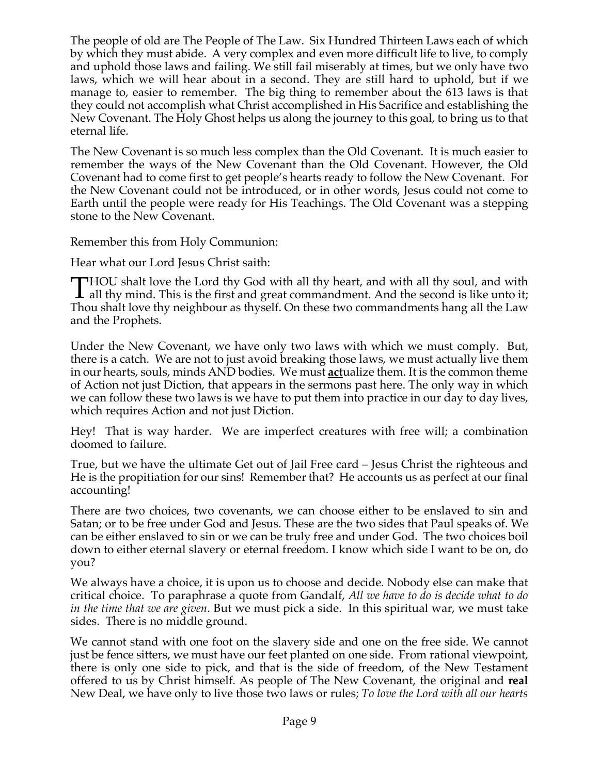The people of old are The People of The Law. Six Hundred Thirteen Laws each of which by which they must abide. A very complex and even more difficult life to live, to comply and uphold those laws and failing. We still fail miserably at times, but we only have two laws, which we will hear about in a second. They are still hard to uphold, but if we manage to, easier to remember. The big thing to remember about the 613 laws is that they could not accomplish what Christ accomplished in His Sacrifice and establishing the New Covenant. The Holy Ghost helps us along the journey to this goal, to bring us to that eternal life.

The New Covenant is so much less complex than the Old Covenant. It is much easier to remember the ways of the New Covenant than the Old Covenant. However, the Old Covenant had to come first to get people's hearts ready to follow the New Covenant. For the New Covenant could not be introduced, or in other words, Jesus could not come to Earth until the people were ready for His Teachings. The Old Covenant was a stepping stone to the New Covenant.

Remember this from Holy Communion:

Hear what our Lord Jesus Christ saith:

**THOU** shalt love the Lord thy God with all thy heart, and with all thy soul, and with THOU shalt love the Lord thy God with all thy heart, and with all thy soul, and with<br>all thy mind. This is the first and great commandment. And the second is like unto it;<br>They shall love the naish have a threat! On these Thou shalt love thy neighbour as thyself. On these two commandments hang all the Law and the Prophets.

Under the New Covenant, we have only two laws with which we must comply. But, there is a catch. We are not to just avoid breaking those laws, we must actually live them in our hearts, souls, minds AND bodies. We must **act**ualize them. It is the common theme of Action not just Diction, that appears in the sermons past here. The only way in which we can follow these two laws is we have to put them into practice in our day to day lives, which requires Action and not just Diction.

Hey! That is way harder. We are imperfect creatures with free will; a combination doomed to failure.

True, but we have the ultimate Get out of Jail Free card – Jesus Christ the righteous and He is the propitiation for our sins! Remember that? He accounts us as perfect at our final accounting!

There are two choices, two covenants, we can choose either to be enslaved to sin and Satan; or to be free under God and Jesus. These are the two sides that Paul speaks of. We can be either enslaved to sin or we can be truly free and under God. The two choices boil down to either eternal slavery or eternal freedom. I know which side I want to be on, do you?

We always have a choice, it is upon us to choose and decide. Nobody else can make that critical choice. To paraphrase a quote from Gandalf, *All we have to do is decide what to do in the time that we are given*. But we must pick a side. In this spiritual war, we must take sides. There is no middle ground.

We cannot stand with one foot on the slavery side and one on the free side. We cannot just be fence sitters, we must have our feet planted on one side. From rational viewpoint, there is only one side to pick, and that is the side of freedom, of the New Testament offered to us by Christ himself. As people of The New Covenant, the original and **real** New Deal, we have only to live those two laws or rules; *To love the Lord with all our hearts*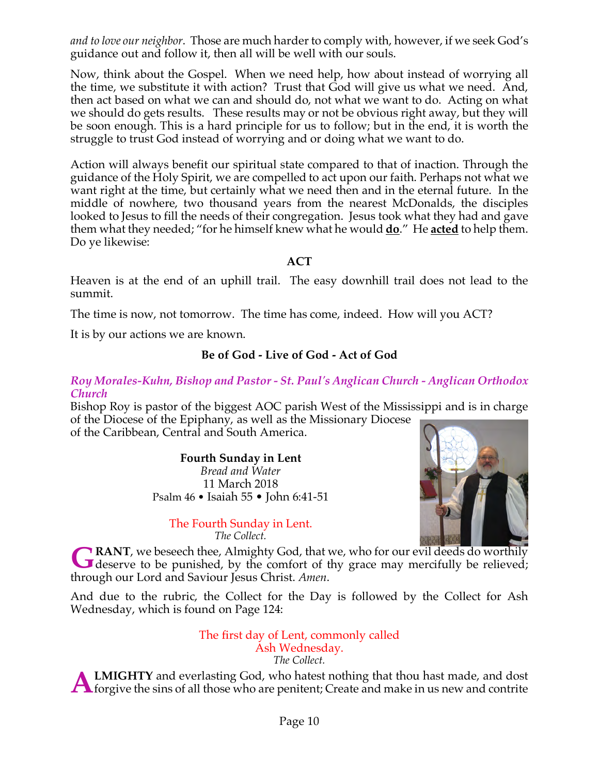*and to love our neighbor*. Those are much harder to comply with, however, if we seek God's guidance out and follow it, then all will be well with our souls.

Now, think about the Gospel. When we need help, how about instead of worrying all the time, we substitute it with action? Trust that God will give us what we need. And, then act based on what we can and should do, not what we want to do. Acting on what we should do gets results. These results may or not be obvious right away, but they will be soon enough. This is a hard principle for us to follow; but in the end, it is worth the struggle to trust God instead of worrying and or doing what we want to do.

Action will always benefit our spiritual state compared to that of inaction. Through the guidance of the Holy Spirit, we are compelled to act upon our faith. Perhaps not what we want right at the time, but certainly what we need then and in the eternal future. In the middle of nowhere, two thousand years from the nearest McDonalds, the disciples looked to Jesus to fill the needs of their congregation. Jesus took what they had and gave them what they needed; "for he himself knew what he would **do**." He **acted** to help them. Do ye likewise:

**ACT**

Heaven is at the end of an uphill trail. The easy downhill trail does not lead to the summit.

The time is now, not tomorrow. The time has come, indeed. How will you ACT?

It is by our actions we are known.

## **Be of God - Live of God - Act of God**

### *Roy Morales-Kuhn, Bishop and Pastor - St. Paul's Anglican Church - Anglican Orthodox Church*

Bishop Roy is pastor of the biggest AOC parish West of the Mississippi and is in charge of the Diocese of the Epiphany, as well as the Missionary Diocese of the Caribbean, Central and South America.

> **Fourth Sunday in Lent** *Bread and Water* 11 March 2018 Psalm 46 • Isaiah 55 • John 6:41-51

The Fourth Sunday in Lent. *The Collect.*



**RANT**, we beseech thee, Almighty God, that we, who for our evil deeds do worthily GRANT, we beseech thee, Almighty God, that we, who for our evil deeds do worthily deserve to be punished, by the comfort of thy grace may mercifully be relieved; through our Lord and Saviour Jesus Christ. *Amen*.

And due to the rubric, the Collect for the Day is followed by the Collect for Ash Wednesday, which is found on Page 124:

> The first day of Lent, commonly called Ash Wednesday. *The Collect.*

**LMIGHTY** and everlasting God, who hatest nothing that thou hast made, and dost **A LMIGHTY** and everlasting God, who hatest nothing that thou hast made, and dost forgive the sins of all those who are penitent; Create and make in us new and contrite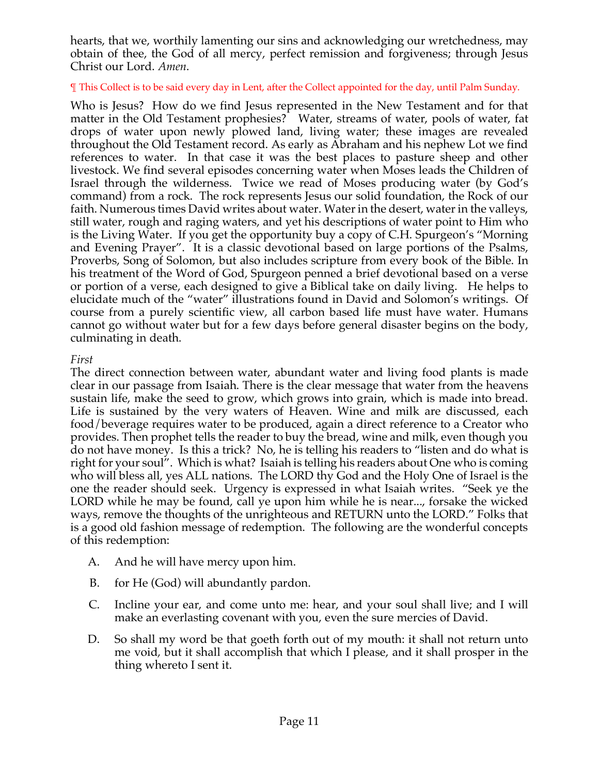hearts, that we, worthily lamenting our sins and acknowledging our wretchedness, may obtain of thee, the God of all mercy, perfect remission and forgiveness; through Jesus Christ our Lord. *Amen*.

#### ¶ This Collect is to be said every day in Lent, after the Collect appointed for the day, until Palm Sunday.

Who is Jesus? How do we find Jesus represented in the New Testament and for that matter in the Old Testament prophesies? Water, streams of water, pools of water, fat drops of water upon newly plowed land, living water; these images are revealed throughout the Old Testament record. As early as Abraham and his nephew Lot we find references to water. In that case it was the best places to pasture sheep and other livestock. We find several episodes concerning water when Moses leads the Children of Israel through the wilderness. Twice we read of Moses producing water (by God's command) from a rock. The rock represents Jesus our solid foundation, the Rock of our faith. Numerous times David writes about water. Water in the desert, water in the valleys, still water, rough and raging waters, and yet his descriptions of water point to Him who is the Living Water. If you get the opportunity buy a copy of C.H. Spurgeon's "Morning and Evening Prayer". It is a classic devotional based on large portions of the Psalms, Proverbs, Song of Solomon, but also includes scripture from every book of the Bible. In his treatment of the Word of God, Spurgeon penned a brief devotional based on a verse or portion of a verse, each designed to give a Biblical take on daily living. He helps to elucidate much of the "water" illustrations found in David and Solomon's writings. Of course from a purely scientific view, all carbon based life must have water. Humans cannot go without water but for a few days before general disaster begins on the body, culminating in death.

### *First*

The direct connection between water, abundant water and living food plants is made clear in our passage from Isaiah. There is the clear message that water from the heavens sustain life, make the seed to grow, which grows into grain, which is made into bread. Life is sustained by the very waters of Heaven. Wine and milk are discussed, each food/beverage requires water to be produced, again a direct reference to a Creator who provides. Then prophet tells the reader to buy the bread, wine and milk, even though you do not have money. Is this a trick? No, he is telling his readers to "listen and do what is right for your soul". Which is what? Isaiah is telling his readers about One who is coming who will bless all, yes ALL nations. The LORD thy God and the Holy One of Israel is the one the reader should seek. Urgency is expressed in what Isaiah writes. "Seek ye the LORD while he may be found, call ye upon him while he is near..., forsake the wicked ways, remove the thoughts of the unrighteous and RETURN unto the LORD." Folks that is a good old fashion message of redemption. The following are the wonderful concepts of this redemption:

- A. And he will have mercy upon him.
- B. for He (God) will abundantly pardon.
- C. Incline your ear, and come unto me: hear, and your soul shall live; and I will make an everlasting covenant with you, even the sure mercies of David.
- D. So shall my word be that goeth forth out of my mouth: it shall not return unto me void, but it shall accomplish that which I please, and it shall prosper in the thing whereto I sent it.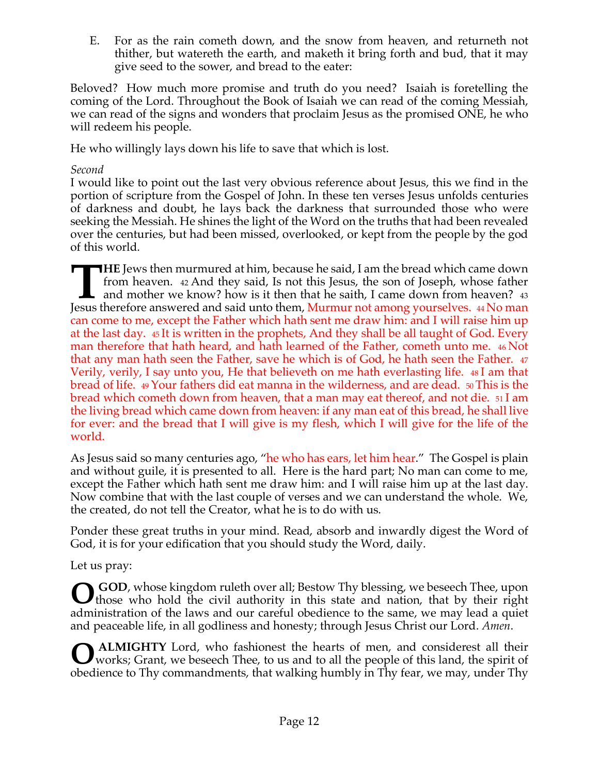E. For as the rain cometh down, and the snow from heaven, and returneth not thither, but watereth the earth, and maketh it bring forth and bud, that it may give seed to the sower, and bread to the eater:

Beloved? How much more promise and truth do you need? Isaiah is foretelling the coming of the Lord. Throughout the Book of Isaiah we can read of the coming Messiah, we can read of the signs and wonders that proclaim Jesus as the promised ONE, he who will redeem his people.

He who willingly lays down his life to save that which is lost.

## *Second*

I would like to point out the last very obvious reference about Jesus, this we find in the portion of scripture from the Gospel of John. In these ten verses Jesus unfolds centuries of darkness and doubt, he lays back the darkness that surrounded those who were seeking the Messiah. He shines the light of the Word on the truths that had been revealed over the centuries, but had been missed, overlooked, or kept from the people by the god of this world.

**HE** Jews then murmured at him, because he said, I am the bread which came down from heaven. 42 And they said, Is not this Jesus, the son of Joseph, whose father  $\frac{1}{2}$  and mother we know? how is it then that he saith, I came down from heaven? 43 **THE** Jews then murmured at him, because he said, I am the bread which came down from heaven. 42 And they said, Is not this Jesus, the son of Joseph, whose father and mother we know? how is it then that he saith, I came do can come to me, except the Father which hath sent me draw him: and I will raise him up at the last day. 45 It is written in the prophets, And they shall be all taught of God. Every man therefore that hath heard, and hath learned of the Father, cometh unto me. 46 Not that any man hath seen the Father, save he which is of God, he hath seen the Father. 47 Verily, verily, I say unto you, He that believeth on me hath everlasting life. 48 I am that bread of life. 49 Your fathers did eat manna in the wilderness, and are dead. 50 This is the bread which cometh down from heaven, that a man may eat thereof, and not die. 51 I am the living bread which came down from heaven: if any man eat of this bread, he shall live for ever: and the bread that I will give is my flesh, which I will give for the life of the world.

As Jesus said so many centuries ago, "he who has ears, let him hear." The Gospel is plain and without guile, it is presented to all. Here is the hard part; No man can come to me, except the Father which hath sent me draw him: and I will raise him up at the last day. Now combine that with the last couple of verses and we can understand the whole. We, the created, do not tell the Creator, what he is to do with us.

Ponder these great truths in your mind. Read, absorb and inwardly digest the Word of God, it is for your edification that you should study the Word, daily.

# Let us pray:

GOD, whose kingdom ruleth over all; Bestow Thy blessing, we beseech Thee, upon **O** GOD, whose kingdom ruleth over all; Bestow Thy blessing, we beseech Thee, upon those who hold the civil authority in this state and nation, that by their right administration of the laws and our careful obedience to the same, we may lead a quiet and peaceable life, in all godliness and honesty; through Jesus Christ our Lord. *Amen*.

**ALMIGHTY** Lord, who fashionest the hearts of men, and considerest all their works; Grant, we beseech Thee, to us and to all the people of this land, the spirit of works; Grant, we beseech Thee, to us and to all the people of this land, the spirit of obedience to Thy commandments, that walking humbly in Thy fear, we may, under Thy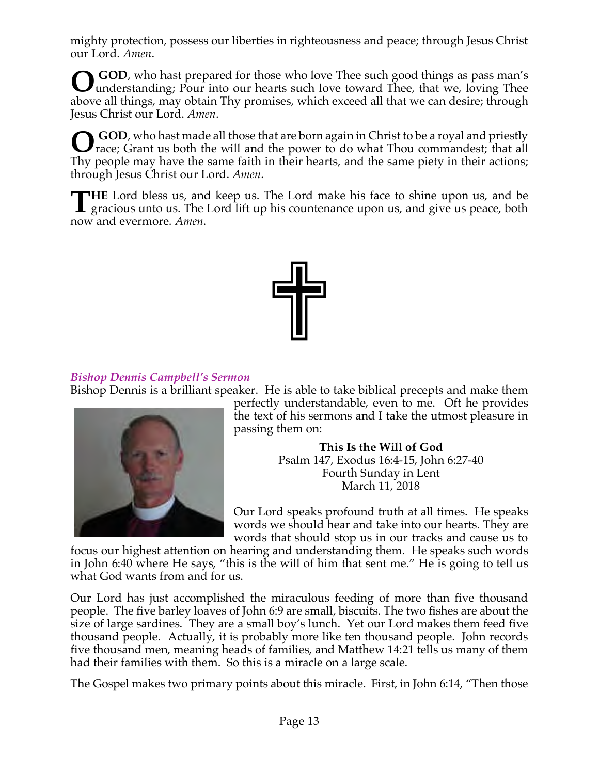mighty protection, possess our liberties in righteousness and peace; through Jesus Christ our Lord. *Amen*.

GOD, who hast prepared for those who love Thee such good things as pass man's understanding; Pour into our hearts such love toward Thee, that we, loving Thee above all things, may obtain Thy promises, which exceed all that we can desire; through Jesus Christ our Lord. *Amen*. **O**

**GOD**, who hast made all those that are born again in Christ to be a royal and priestly **O** GOD, who hast made all those that are born again in Christ to be a royal and priestly race; Grant us both the will and the power to do what Thou commandest; that all Thy people may have the same faith in their hearts, and the same piety in their actions; through Jesus Christ our Lord. *Amen*.

**HE** Lord bless us, and keep us. The Lord make his face to shine upon us, and be THE Lord bless us, and keep us. The Lord make his face to shine upon us, and be gracious unto us. The Lord lift up his countenance upon us, and give us peace, both now and evermore. *Amen*.



## *Bishop Dennis Campbell's Sermon*

Bishop Dennis is a brilliant speaker. He is able to take biblical precepts and make them



perfectly understandable, even to me. Oft he provides the text of his sermons and I take the utmost pleasure in passing them on:

> **This Is the Will of God** Psalm 147, Exodus 16:4-15, John 6:27-40 Fourth Sunday in Lent March 11, 2018

Our Lord speaks profound truth at all times. He speaks words we should hear and take into our hearts. They are words that should stop us in our tracks and cause us to

focus our highest attention on hearing and understanding them. He speaks such words in John 6:40 where He says, "this is the will of him that sent me." He is going to tell us what God wants from and for us.

Our Lord has just accomplished the miraculous feeding of more than five thousand people. The five barley loaves of John 6:9 are small, biscuits. The two fishes are about the size of large sardines. They are a small boy's lunch. Yet our Lord makes them feed five thousand people. Actually, it is probably more like ten thousand people. John records five thousand men, meaning heads of families, and Matthew 14:21 tells us many of them had their families with them. So this is a miracle on a large scale.

The Gospel makes two primary points about this miracle. First, in John 6:14, "Then those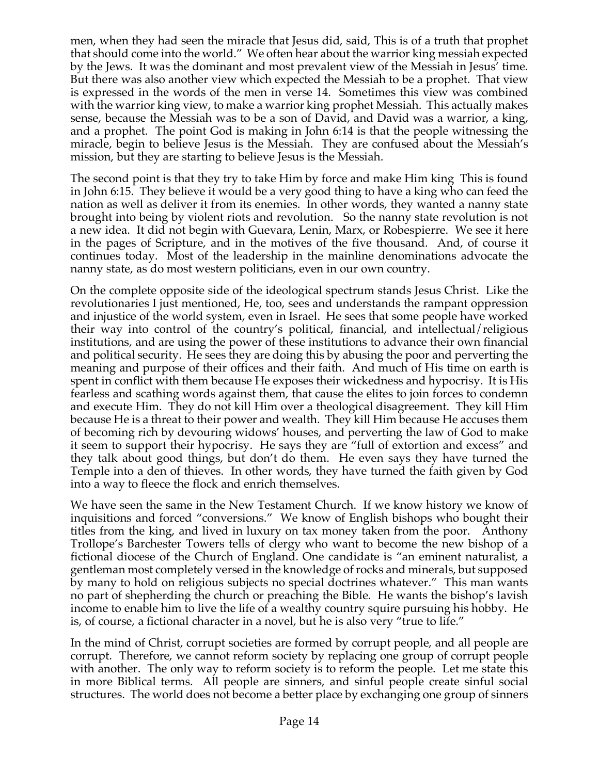men, when they had seen the miracle that Jesus did, said, This is of a truth that prophet that should come into the world." We often hear about the warrior king messiah expected by the Jews. It was the dominant and most prevalent view of the Messiah in Jesus' time. But there was also another view which expected the Messiah to be a prophet. That view is expressed in the words of the men in verse 14. Sometimes this view was combined with the warrior king view, to make a warrior king prophet Messiah. This actually makes sense, because the Messiah was to be a son of David, and David was a warrior, a king, and a prophet. The point God is making in John 6:14 is that the people witnessing the miracle, begin to believe Jesus is the Messiah. They are confused about the Messiah's mission, but they are starting to believe Jesus is the Messiah.

The second point is that they try to take Him by force and make Him king This is found in John 6:15. They believe it would be a very good thing to have a king who can feed the nation as well as deliver it from its enemies. In other words, they wanted a nanny state brought into being by violent riots and revolution. So the nanny state revolution is not a new idea. It did not begin with Guevara, Lenin, Marx, or Robespierre. We see it here in the pages of Scripture, and in the motives of the five thousand. And, of course it continues today. Most of the leadership in the mainline denominations advocate the nanny state, as do most western politicians, even in our own country.

On the complete opposite side of the ideological spectrum stands Jesus Christ. Like the revolutionaries I just mentioned, He, too, sees and understands the rampant oppression and injustice of the world system, even in Israel. He sees that some people have worked their way into control of the country's political, financial, and intellectual/religious institutions, and are using the power of these institutions to advance their own financial and political security. He sees they are doing this by abusing the poor and perverting the meaning and purpose of their offices and their faith. And much of His time on earth is spent in conflict with them because He exposes their wickedness and hypocrisy. It is His fearless and scathing words against them, that cause the elites to join forces to condemn and execute Him. They do not kill Him over a theological disagreement. They kill Him because He is a threat to their power and wealth. They kill Him because He accuses them of becoming rich by devouring widows' houses, and perverting the law of God to make it seem to support their hypocrisy. He says they are "full of extortion and excess" and they talk about good things, but don't do them. He even says they have turned the Temple into a den of thieves. In other words, they have turned the faith given by God into a way to fleece the flock and enrich themselves.

We have seen the same in the New Testament Church. If we know history we know of inquisitions and forced "conversions." We know of English bishops who bought their titles from the king, and lived in luxury on tax money taken from the poor. Anthony Trollope's Barchester Towers tells of clergy who want to become the new bishop of a fictional diocese of the Church of England. One candidate is "an eminent naturalist, a gentleman most completely versed in the knowledge of rocks and minerals, but supposed by many to hold on religious subjects no special doctrines whatever." This man wants no part of shepherding the church or preaching the Bible. He wants the bishop's lavish income to enable him to live the life of a wealthy country squire pursuing his hobby. He is, of course, a fictional character in a novel, but he is also very "true to life."

In the mind of Christ, corrupt societies are formed by corrupt people, and all people are corrupt. Therefore, we cannot reform society by replacing one group of corrupt people with another. The only way to reform society is to reform the people. Let me state this in more Biblical terms. All people are sinners, and sinful people create sinful social structures. The world does not become a better place by exchanging one group of sinners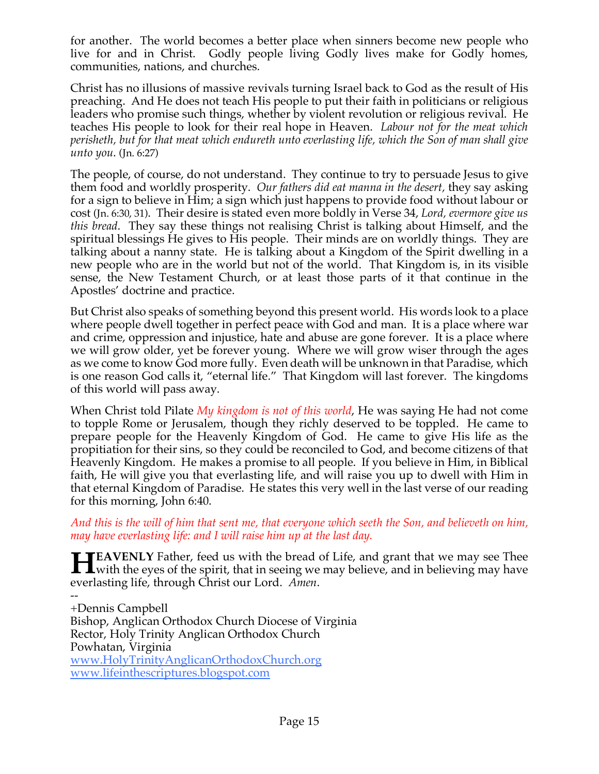for another. The world becomes a better place when sinners become new people who live for and in Christ. Godly people living Godly lives make for Godly homes, communities, nations, and churches.

Christ has no illusions of massive revivals turning Israel back to God as the result of His preaching. And He does not teach His people to put their faith in politicians or religious leaders who promise such things, whether by violent revolution or religious revival. He teaches His people to look for their real hope in Heaven. *Labour not for the meat which perisheth, but for that meat which endureth unto everlasting life, which the Son of man shall give unto you*. (Jn. 6:27)

The people, of course, do not understand. They continue to try to persuade Jesus to give them food and worldly prosperity. *Our fathers did eat manna in the desert,* they say asking for a sign to believe in Him; a sign which just happens to provide food without labour or cost (Jn. 6:30, 31). Their desire is stated even more boldly in Verse 34, *Lord, evermore give us this bread*. They say these things not realising Christ is talking about Himself, and the spiritual blessings He gives to His people. Their minds are on worldly things. They are talking about a nanny state. He is talking about a Kingdom of the Spirit dwelling in a new people who are in the world but not of the world. That Kingdom is, in its visible sense, the New Testament Church, or at least those parts of it that continue in the Apostles' doctrine and practice.

But Christ also speaks of something beyond this present world. His words look to a place where people dwell together in perfect peace with God and man. It is a place where war and crime, oppression and injustice, hate and abuse are gone forever. It is a place where we will grow older, yet be forever young. Where we will grow wiser through the ages as we come to know God more fully. Even death will be unknown in that Paradise, which is one reason God calls it, "eternal life." That Kingdom will last forever. The kingdoms of this world will pass away.

When Christ told Pilate *My kingdom is not of this world*, He was saying He had not come to topple Rome or Jerusalem, though they richly deserved to be toppled. He came to prepare people for the Heavenly Kingdom of God. He came to give His life as the propitiation for their sins, so they could be reconciled to God, and become citizens of that Heavenly Kingdom. He makes a promise to all people. If you believe in Him, in Biblical faith, He will give you that everlasting life, and will raise you up to dwell with Him in that eternal Kingdom of Paradise. He states this very well in the last verse of our reading for this morning, John 6:40.

### *And this is the will of him that sent me, that everyone which seeth the Son, and believeth on him, may have everlasting life: and I will raise him up at the last day.*

**EAVENLY** Father, feed us with the bread of Life, and grant that we may see Thee **HEAVENLY** Father, feed us with the bread of Life, and grant that we may see Thee with the eyes of the spirit, that in seeing we may believe, and in believing may have everlasting life, through Christ our Lord. *Amen*.

-- +Dennis Campbell Bishop, Anglican Orthodox Church Diocese of Virginia Rector, Holy Trinity Anglican Orthodox Church Powhatan, Virginia www.HolyTrinityAnglicanOrthodoxChurch.org www.lifeinthescriptures.blogspot.com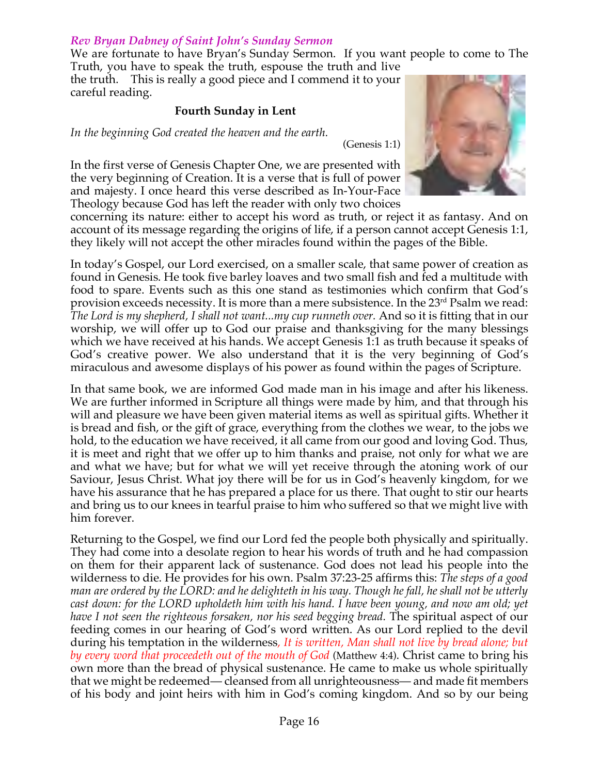## *Rev Bryan Dabney of Saint John's Sunday Sermon*

We are fortunate to have Bryan's Sunday Sermon. If you want people to come to The Truth, you have to speak the truth, espouse the truth and live

the truth. This is really a good piece and I commend it to your careful reading.

### **Fourth Sunday in Lent**

*In the beginning God created the heaven and the earth.*

(Genesis 1:1)

In the first verse of Genesis Chapter One, we are presented with the very beginning of Creation. It is a verse that is full of power and majesty. I once heard this verse described as In-Your-Face Theology because God has left the reader with only two choices



concerning its nature: either to accept his word as truth, or reject it as fantasy. And on account of its message regarding the origins of life, if a person cannot accept Genesis 1:1, they likely will not accept the other miracles found within the pages of the Bible.

In today's Gospel, our Lord exercised, on a smaller scale, that same power of creation as found in Genesis. He took five barley loaves and two small fish and fed a multitude with food to spare. Events such as this one stand as testimonies which confirm that God's provision exceeds necessity. It is more than a mere subsistence. In the 23rd Psalm we read: *The Lord is my shepherd, I shall not want...my cup runneth over.* And so it is fitting that in our worship, we will offer up to God our praise and thanksgiving for the many blessings which we have received at his hands. We accept Genesis 1:1 as truth because it speaks of God's creative power. We also understand that it is the very beginning of God's miraculous and awesome displays of his power as found within the pages of Scripture.

In that same book, we are informed God made man in his image and after his likeness. We are further informed in Scripture all things were made by him, and that through his will and pleasure we have been given material items as well as spiritual gifts. Whether it is bread and fish, or the gift of grace, everything from the clothes we wear, to the jobs we hold, to the education we have received, it all came from our good and loving God. Thus, it is meet and right that we offer up to him thanks and praise, not only for what we are and what we have; but for what we will yet receive through the atoning work of our Saviour, Jesus Christ. What joy there will be for us in God's heavenly kingdom, for we have his assurance that he has prepared a place for us there. That ought to stir our hearts and bring us to our knees in tearful praise to him who suffered so that we might live with him forever.

Returning to the Gospel, we find our Lord fed the people both physically and spiritually. They had come into a desolate region to hear his words of truth and he had compassion on them for their apparent lack of sustenance. God does not lead his people into the wilderness to die. He provides for his own. Psalm 37:23-25 affirms this: *The steps of a good man are ordered by the LORD: and he delighteth in his way. Though he fall, he shall not be utterly cast down: for the LORD upholdeth him with his hand. I have been young, and now am old; yet have I not seen the righteous forsaken, nor his seed begging bread.* The spiritual aspect of our feeding comes in our hearing of God's word written. As our Lord replied to the devil during his temptation in the wilderness*, It is written, Man shall not live by bread alone; but by every word that proceedeth out of the mouth of God* (Matthew 4:4). Christ came to bring his own more than the bread of physical sustenance. He came to make us whole spiritually that we might be redeemed— cleansed from all unrighteousness— and made fit members of his body and joint heirs with him in God's coming kingdom. And so by our being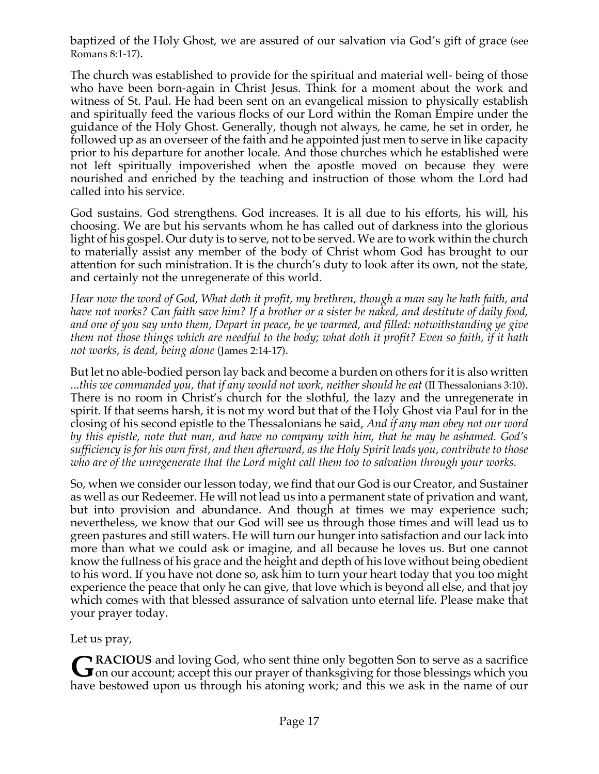baptized of the Holy Ghost, we are assured of our salvation via God's gift of grace (see Romans 8:1-17).

The church was established to provide for the spiritual and material well- being of those who have been born-again in Christ Jesus. Think for a moment about the work and witness of St. Paul. He had been sent on an evangelical mission to physically establish and spiritually feed the various flocks of our Lord within the Roman Empire under the guidance of the Holy Ghost. Generally, though not always, he came, he set in order, he followed up as an overseer of the faith and he appointed just men to serve in like capacity prior to his departure for another locale. And those churches which he established were not left spiritually impoverished when the apostle moved on because they were nourished and enriched by the teaching and instruction of those whom the Lord had called into his service.

God sustains. God strengthens. God increases. It is all due to his efforts, his will, his choosing. We are but his servants whom he has called out of darkness into the glorious light of his gospel. Our duty is to serve, not to be served. We are to work within the church to materially assist any member of the body of Christ whom God has brought to our attention for such ministration. It is the church's duty to look after its own, not the state, and certainly not the unregenerate of this world.

*Hear now the word of God, What doth it profit, my brethren, though a man say he hath faith, and have not works? Can faith save him? If a brother or a sister be naked, and destitute of daily food, and one of you say unto them, Depart in peace, be ye warmed, and filled: notwithstanding ye give them not those things which are needful to the body; what doth it profit? Even so faith, if it hath not works, is dead, being alone* (James 2:14-17).

But let no able-bodied person lay back and become a burden on others for it is also written ...*this we commanded you, that if any would not work, neither should he eat* (II Thessalonians 3:10). There is no room in Christ's church for the slothful, the lazy and the unregenerate in spirit. If that seems harsh, it is not my word but that of the Holy Ghost via Paul for in the closing of his second epistle to the Thessalonians he said, *And if any man obey not our word by this epistle, note that man, and have no company with him, that he may be ashamed. God's sufficiency is for his own first, and then afterward, as the Holy Spirit leads you, contribute to those who are of the unregenerate that the Lord might call them too to salvation through your works.*

So, when we consider our lesson today, we find that our God is our Creator, and Sustainer as well as our Redeemer. He will not lead us into a permanent state of privation and want, but into provision and abundance. And though at times we may experience such; nevertheless, we know that our God will see us through those times and will lead us to green pastures and still waters. He will turn our hunger into satisfaction and our lack into more than what we could ask or imagine, and all because he loves us. But one cannot know the fullness of his grace and the height and depth of his love without being obedient to his word. If you have not done so, ask him to turn your heart today that you too might experience the peace that only he can give, that love which is beyond all else, and that joy which comes with that blessed assurance of salvation unto eternal life. Please make that your prayer today.

Let us pray,

**RACIOUS** and loving God, who sent thine only begotten Son to serve as a sacrifice GRACIOUS and loving God, who sent thine only begotten Son to serve as a sacrifice on our account; accept this our prayer of thanksgiving for those blessings which you have bestowed upon us through his atoning work; and this we ask in the name of our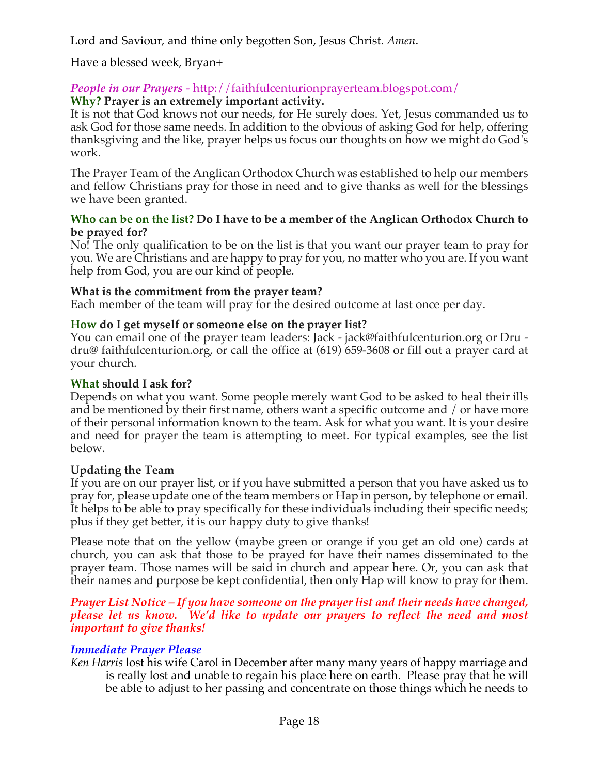Lord and Saviour, and thine only begotten Son, Jesus Christ. *Amen*.

Have a blessed week, Bryan+

# *People in our Prayers* - http://faithfulcenturionprayerteam.blogspot.com/

## **Why? Prayer is an extremely important activity.**

It is not that God knows not our needs, for He surely does. Yet, Jesus commanded us to ask God for those same needs. In addition to the obvious of asking God for help, offering thanksgiving and the like, prayer helps us focus our thoughts on how we might do God's work.

The Prayer Team of the Anglican Orthodox Church was established to help our members and fellow Christians pray for those in need and to give thanks as well for the blessings we have been granted.

### **Who can be on the list? Do I have to be a member of the Anglican Orthodox Church to be prayed for?**

No! The only qualification to be on the list is that you want our prayer team to pray for you. We are Christians and are happy to pray for you, no matter who you are. If you want help from God, you are our kind of people.

## **What is the commitment from the prayer team?**

Each member of the team will pray for the desired outcome at last once per day.

## **How do I get myself or someone else on the prayer list?**

You can email one of the prayer team leaders: Jack - jack@faithfulcenturion.org or Dru dru@ faithfulcenturion.org, or call the office at (619) 659-3608 or fill out a prayer card at your church.

## **What should I ask for?**

Depends on what you want. Some people merely want God to be asked to heal their ills and be mentioned by their first name, others want a specific outcome and / or have more of their personal information known to the team. Ask for what you want. It is your desire and need for prayer the team is attempting to meet. For typical examples, see the list below.

## **Updating the Team**

If you are on our prayer list, or if you have submitted a person that you have asked us to pray for, please update one of the team members or Hap in person, by telephone or email. It helps to be able to pray specifically for these individuals including their specific needs; plus if they get better, it is our happy duty to give thanks!

Please note that on the yellow (maybe green or orange if you get an old one) cards at church, you can ask that those to be prayed for have their names disseminated to the prayer team. Those names will be said in church and appear here. Or, you can ask that their names and purpose be kept confidential, then only Hap will know to pray for them.

*Prayer List Notice – If you have someone on the prayer list and their needs have changed, please let us know. We'd like to update our prayers to reflect the need and most important to give thanks!*

## *Immediate Prayer Please*

*Ken Harris* lost his wife Carol in December after many many years of happy marriage and is really lost and unable to regain his place here on earth. Please pray that he will be able to adjust to her passing and concentrate on those things which he needs to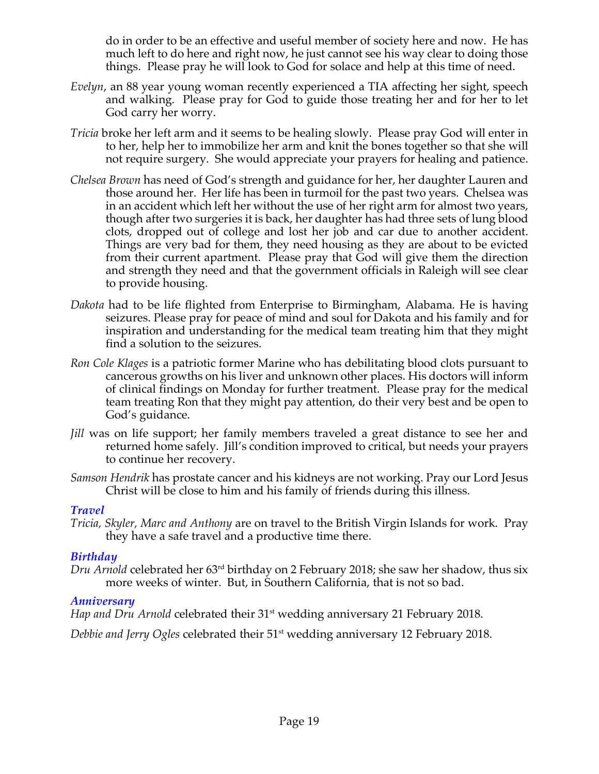do in order to be an effective and useful member of society here and now. He has much left to do here and right now, he just cannot see his way clear to doing those things. Please pray he will look to God for solace and help at this time of need.

- *Evelyn*, an 88 year young woman recently experienced a TIA affecting her sight, speech and walking. Please pray for God to guide those treating her and for her to let God carry her worry.
- *Tricia* broke her left arm and it seems to be healing slowly. Please pray God will enter in to her, help her to immobilize her arm and knit the bones together so that she will not require surgery. She would appreciate your prayers for healing and patience.
- *Chelsea Brown* has need of God's strength and guidance for her, her daughter Lauren and those around her. Her life has been in turmoil for the past two years. Chelsea was in an accident which left her without the use of her right arm for almost two years, though after two surgeries it is back, her daughter has had three sets of lung blood clots, dropped out of college and lost her job and car due to another accident. Things are very bad for them, they need housing as they are about to be evicted from their current apartment. Please pray that God will give them the direction and strength they need and that the government officials in Raleigh will see clear to provide housing.
- *Dakota* had to be life flighted from Enterprise to Birmingham, Alabama. He is having seizures. Please pray for peace of mind and soul for Dakota and his family and for inspiration and understanding for the medical team treating him that they might find a solution to the seizures.
- *Ron Cole Klages* is a patriotic former Marine who has debilitating blood clots pursuant to cancerous growths on his liver and unknown other places. His doctors will inform of clinical findings on Monday for further treatment. Please pray for the medical team treating Ron that they might pay attention, do their very best and be open to God's guidance.
- *Jill* was on life support; her family members traveled a great distance to see her and returned home safely. Jill's condition improved to critical, but needs your prayers to continue her recovery.
- *Samson Hendrik* has prostate cancer and his kidneys are not working. Pray our Lord Jesus Christ will be close to him and his family of friends during this illness.

## *Travel*

*Tricia, Skyler, Marc and Anthony* are on travel to the British Virgin Islands for work. Pray they have a safe travel and a productive time there.

## *Birthday*

*Dru Arnold* celebrated her 63rd birthday on 2 February 2018; she saw her shadow, thus six more weeks of winter. But, in Southern California, that is not so bad.

## *Anniversary*

*Hap and Dru Arnold celebrated their* 31<sup>st</sup> wedding anniversary 21 February 2018.

*Debbie and Jerry Ogles* celebrated their 51st wedding anniversary 12 February 2018.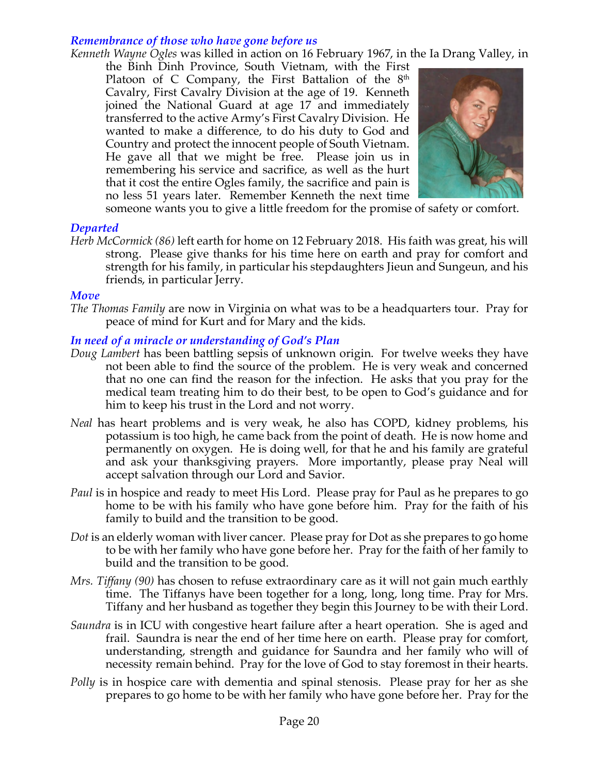#### *Remembrance of those who have gone before us*

*Kenneth Wayne Ogles* was killed in action on 16 February 1967, in the Ia Drang Valley, in

the Binh Dinh Province, South Vietnam, with the First Platoon of C Company, the First Battalion of the  $8<sup>th</sup>$ Cavalry, First Cavalry Division at the age of 19. Kenneth joined the National Guard at age 17 and immediately transferred to the active Army's First Cavalry Division. He wanted to make a difference, to do his duty to God and Country and protect the innocent people of South Vietnam. He gave all that we might be free. Please join us in remembering his service and sacrifice, as well as the hurt that it cost the entire Ogles family, the sacrifice and pain is no less 51 years later. Remember Kenneth the next time



someone wants you to give a little freedom for the promise of safety or comfort.

#### *Departed*

*Herb McCormick (86)* left earth for home on 12 February 2018. His faith was great, his will strong. Please give thanks for his time here on earth and pray for comfort and strength for his family, in particular his stepdaughters Jieun and Sungeun, and his friends, in particular Jerry.

### *Move*

*The Thomas Family* are now in Virginia on what was to be a headquarters tour. Pray for peace of mind for Kurt and for Mary and the kids.

## *In need of a miracle or understanding of God's Plan*

- *Doug Lambert* has been battling sepsis of unknown origin. For twelve weeks they have not been able to find the source of the problem. He is very weak and concerned that no one can find the reason for the infection. He asks that you pray for the medical team treating him to do their best, to be open to God's guidance and for him to keep his trust in the Lord and not worry.
- *Neal* has heart problems and is very weak, he also has COPD, kidney problems, his potassium is too high, he came back from the point of death. He is now home and permanently on oxygen. He is doing well, for that he and his family are grateful and ask your thanksgiving prayers. More importantly, please pray Neal will accept salvation through our Lord and Savior.
- *Paul* is in hospice and ready to meet His Lord. Please pray for Paul as he prepares to go home to be with his family who have gone before him. Pray for the faith of his family to build and the transition to be good.
- *Dot* is an elderly woman with liver cancer. Please pray for Dot as she prepares to go home to be with her family who have gone before her. Pray for the faith of her family to build and the transition to be good.
- *Mrs. Tiffany (90)* has chosen to refuse extraordinary care as it will not gain much earthly time. The Tiffanys have been together for a long, long, long time. Pray for Mrs. Tiffany and her husband as together they begin this Journey to be with their Lord.
- *Saundra* is in ICU with congestive heart failure after a heart operation. She is aged and frail. Saundra is near the end of her time here on earth. Please pray for comfort, understanding, strength and guidance for Saundra and her family who will of necessity remain behind. Pray for the love of God to stay foremost in their hearts.
- *Polly* is in hospice care with dementia and spinal stenosis. Please pray for her as she prepares to go home to be with her family who have gone before her. Pray for the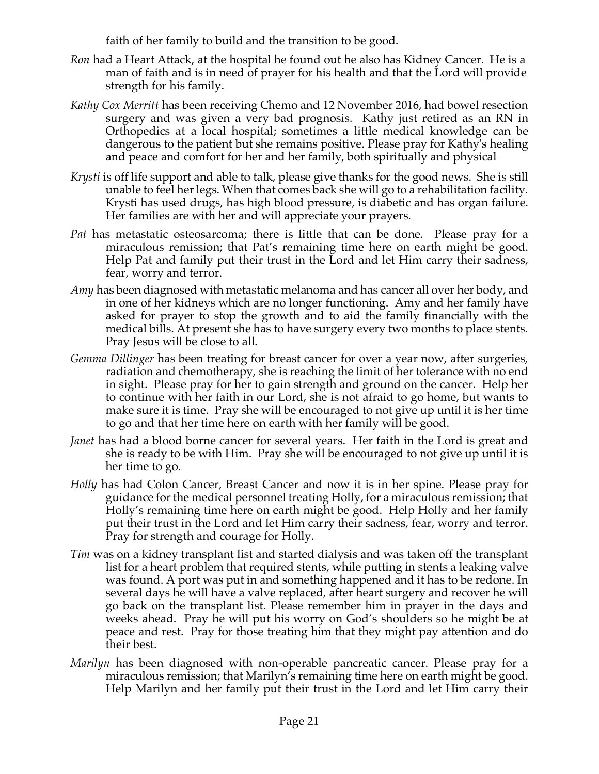faith of her family to build and the transition to be good.

- *Ron* had a Heart Attack, at the hospital he found out he also has Kidney Cancer. He is a man of faith and is in need of prayer for his health and that the Lord will provide strength for his family.
- *Kathy Cox Merritt* has been receiving Chemo and 12 November 2016, had bowel resection surgery and was given a very bad prognosis. Kathy just retired as an RN in Orthopedics at a local hospital; sometimes a little medical knowledge can be dangerous to the patient but she remains positive. Please pray for Kathy's healing and peace and comfort for her and her family, both spiritually and physical
- *Krysti* is off life support and able to talk, please give thanks for the good news. She is still unable to feel her legs. When that comes back she will go to a rehabilitation facility. Krysti has used drugs, has high blood pressure, is diabetic and has organ failure. Her families are with her and will appreciate your prayers.
- *Pat* has metastatic osteosarcoma; there is little that can be done. Please pray for a miraculous remission; that Pat's remaining time here on earth might be good. Help Pat and family put their trust in the Lord and let Him carry their sadness, fear, worry and terror.
- *Amy* has been diagnosed with metastatic melanoma and has cancer all over her body, and in one of her kidneys which are no longer functioning. Amy and her family have asked for prayer to stop the growth and to aid the family financially with the medical bills. At present she has to have surgery every two months to place stents. Pray Jesus will be close to all.
- *Gemma Dillinger* has been treating for breast cancer for over a year now, after surgeries, radiation and chemotherapy, she is reaching the limit of her tolerance with no end in sight. Please pray for her to gain strength and ground on the cancer. Help her to continue with her faith in our Lord, she is not afraid to go home, but wants to make sure it is time. Pray she will be encouraged to not give up until it is her time to go and that her time here on earth with her family will be good.
- *Janet* has had a blood borne cancer for several years. Her faith in the Lord is great and she is ready to be with Him. Pray she will be encouraged to not give up until it is her time to go.
- *Holly* has had Colon Cancer, Breast Cancer and now it is in her spine. Please pray for guidance for the medical personnel treating Holly, for a miraculous remission; that Holly's remaining time here on earth might be good. Help Holly and her family put their trust in the Lord and let Him carry their sadness, fear, worry and terror. Pray for strength and courage for Holly.
- *Tim* was on a kidney transplant list and started dialysis and was taken off the transplant list for a heart problem that required stents, while putting in stents a leaking valve was found. A port was put in and something happened and it has to be redone. In several days he will have a valve replaced, after heart surgery and recover he will go back on the transplant list. Please remember him in prayer in the days and weeks ahead. Pray he will put his worry on God's shoulders so he might be at peace and rest. Pray for those treating him that they might pay attention and do their best.
- *Marilyn* has been diagnosed with non-operable pancreatic cancer. Please pray for a miraculous remission; that Marilyn's remaining time here on earth might be good. Help Marilyn and her family put their trust in the Lord and let Him carry their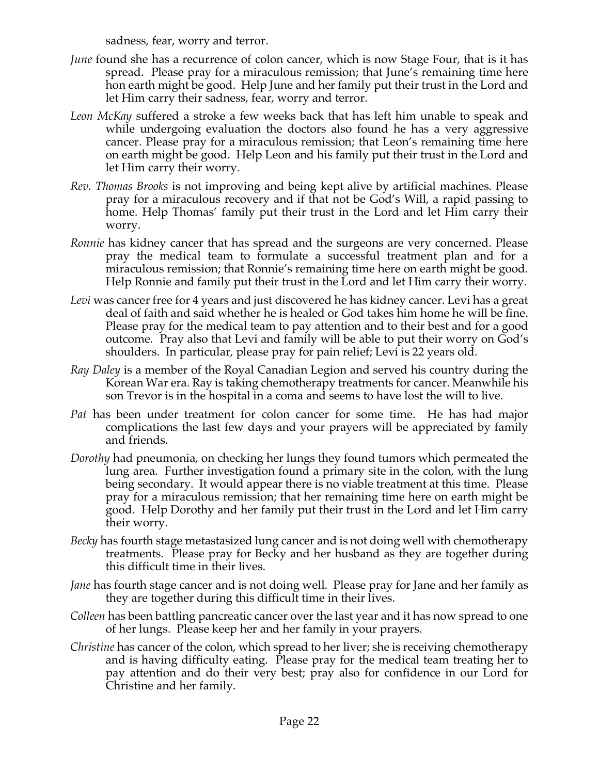sadness, fear, worry and terror.

- *June* found she has a recurrence of colon cancer, which is now Stage Four, that is it has spread. Please pray for a miraculous remission; that June's remaining time here hon earth might be good. Help June and her family put their trust in the Lord and let Him carry their sadness, fear, worry and terror.
- *Leon McKay* suffered a stroke a few weeks back that has left him unable to speak and while undergoing evaluation the doctors also found he has a very aggressive cancer. Please pray for a miraculous remission; that Leon's remaining time here on earth might be good. Help Leon and his family put their trust in the Lord and let Him carry their worry.
- *Rev. Thomas Brooks* is not improving and being kept alive by artificial machines. Please pray for a miraculous recovery and if that not be God's Will, a rapid passing to home. Help Thomas' family put their trust in the Lord and let Him carry their worry.
- *Ronnie* has kidney cancer that has spread and the surgeons are very concerned. Please pray the medical team to formulate a successful treatment plan and for a miraculous remission; that Ronnie's remaining time here on earth might be good. Help Ronnie and family put their trust in the Lord and let Him carry their worry.
- Levi was cancer free for 4 years and just discovered he has kidney cancer. Levi has a great deal of faith and said whether he is healed or God takes him home he will be fine. Please pray for the medical team to pay attention and to their best and for a good outcome. Pray also that Levi and family will be able to put their worry on God's shoulders. In particular, please pray for pain relief; Levi is 22 years old.
- *Ray Daley* is a member of the Royal Canadian Legion and served his country during the Korean War era. Ray is taking chemotherapy treatments for cancer. Meanwhile his son Trevor is in the hospital in a coma and seems to have lost the will to live.
- *Pat* has been under treatment for colon cancer for some time. He has had major complications the last few days and your prayers will be appreciated by family and friends.
- *Dorothy* had pneumonia, on checking her lungs they found tumors which permeated the lung area. Further investigation found a primary site in the colon, with the lung being secondary. It would appear there is no viable treatment at this time. Please pray for a miraculous remission; that her remaining time here on earth might be good. Help Dorothy and her family put their trust in the Lord and let Him carry their worry.
- *Becky* has fourth stage metastasized lung cancer and is not doing well with chemotherapy treatments. Please pray for Becky and her husband as they are together during this difficult time in their lives.
- *Jane* has fourth stage cancer and is not doing well. Please pray for Jane and her family as they are together during this difficult time in their lives.
- *Colleen* has been battling pancreatic cancer over the last year and it has now spread to one of her lungs. Please keep her and her family in your prayers.
- *Christine* has cancer of the colon, which spread to her liver; she is receiving chemotherapy and is having difficulty eating. Please pray for the medical team treating her to pay attention and do their very best; pray also for confidence in our Lord for Christine and her family.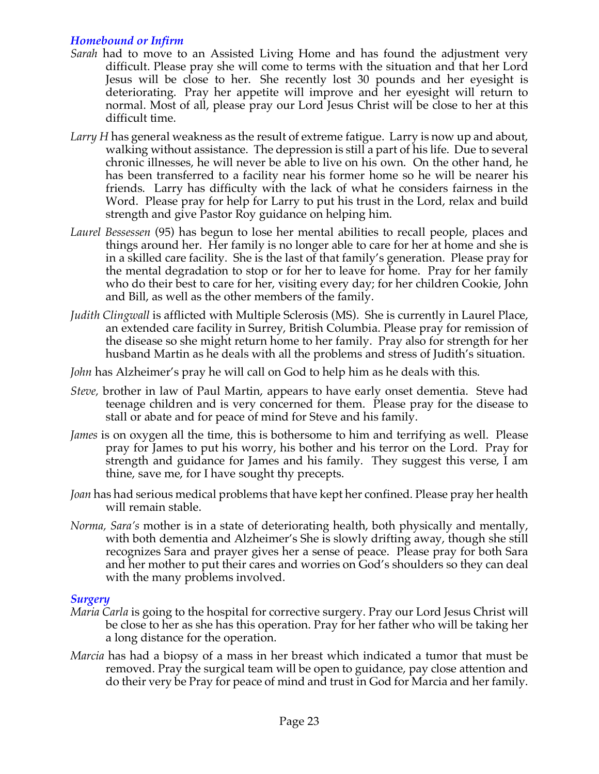## *Homebound or Infirm*

- *Sarah* had to move to an Assisted Living Home and has found the adjustment very difficult. Please pray she will come to terms with the situation and that her Lord Jesus will be close to her. She recently lost 30 pounds and her eyesight is deteriorating. Pray her appetite will improve and her eyesight will return to normal. Most of all, please pray our Lord Jesus Christ will be close to her at this difficult time.
- *Larry H* has general weakness as the result of extreme fatigue. Larry is now up and about, walking without assistance. The depression is still a part of his life. Due to several chronic illnesses, he will never be able to live on his own. On the other hand, he has been transferred to a facility near his former home so he will be nearer his friends. Larry has difficulty with the lack of what he considers fairness in the Word. Please pray for help for Larry to put his trust in the Lord, relax and build strength and give Pastor Roy guidance on helping him.
- *Laurel Bessessen* (95) has begun to lose her mental abilities to recall people, places and things around her. Her family is no longer able to care for her at home and she is in a skilled care facility. She is the last of that family's generation. Please pray for the mental degradation to stop or for her to leave for home. Pray for her family who do their best to care for her, visiting every day; for her children Cookie, John and Bill, as well as the other members of the family.
- *Judith Clingwall* is afflicted with Multiple Sclerosis (MS). She is currently in Laurel Place, an extended care facility in Surrey, British Columbia. Please pray for remission of the disease so she might return home to her family. Pray also for strength for her husband Martin as he deals with all the problems and stress of Judith's situation.
- *John* has Alzheimer's pray he will call on God to help him as he deals with this.
- *Steve,* brother in law of Paul Martin, appears to have early onset dementia. Steve had teenage children and is very concerned for them. Please pray for the disease to stall or abate and for peace of mind for Steve and his family.
- *James* is on oxygen all the time, this is bothersome to him and terrifying as well. Please pray for James to put his worry, his bother and his terror on the Lord. Pray for strength and guidance for James and his family. They suggest this verse, I am thine, save me, for I have sought thy precepts.
- *Joan* has had serious medical problems that have kept her confined. Please pray her health will remain stable.
- *Norma, Sara's* mother is in a state of deteriorating health, both physically and mentally, with both dementia and Alzheimer's She is slowly drifting away, though she still recognizes Sara and prayer gives her a sense of peace. Please pray for both Sara and her mother to put their cares and worries on God's shoulders so they can deal with the many problems involved.

### *Surgery*

- *Maria Carla* is going to the hospital for corrective surgery. Pray our Lord Jesus Christ will be close to her as she has this operation. Pray for her father who will be taking her a long distance for the operation.
- *Marcia* has had a biopsy of a mass in her breast which indicated a tumor that must be removed. Pray the surgical team will be open to guidance, pay close attention and do their very be Pray for peace of mind and trust in God for Marcia and her family.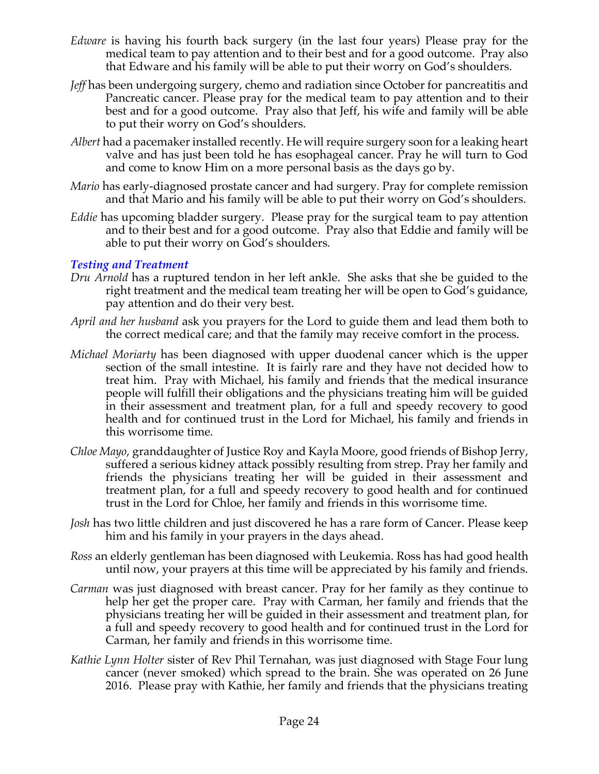- *Edware* is having his fourth back surgery (in the last four years) Please pray for the medical team to pay attention and to their best and for a good outcome. Pray also that Edware and his family will be able to put their worry on God's shoulders.
- *Jeff* has been undergoing surgery, chemo and radiation since October for pancreatitis and Pancreatic cancer. Please pray for the medical team to pay attention and to their best and for a good outcome. Pray also that Jeff, his wife and family will be able to put their worry on God's shoulders.
- *Albert* had a pacemaker installed recently. He will require surgery soon for a leaking heart valve and has just been told he has esophageal cancer. Pray he will turn to God and come to know Him on a more personal basis as the days go by.
- *Mario* has early-diagnosed prostate cancer and had surgery. Pray for complete remission and that Mario and his family will be able to put their worry on God's shoulders.
- *Eddie* has upcoming bladder surgery. Please pray for the surgical team to pay attention and to their best and for a good outcome. Pray also that Eddie and family will be able to put their worry on God's shoulders.

## *Testing and Treatment*

- *Dru Arnold* has a ruptured tendon in her left ankle. She asks that she be guided to the right treatment and the medical team treating her will be open to God's guidance, pay attention and do their very best.
- *April and her husband* ask you prayers for the Lord to guide them and lead them both to the correct medical care; and that the family may receive comfort in the process.
- *Michael Moriarty* has been diagnosed with upper duodenal cancer which is the upper section of the small intestine. It is fairly rare and they have not decided how to treat him. Pray with Michael, his family and friends that the medical insurance people will fulfill their obligations and the physicians treating him will be guided in their assessment and treatment plan, for a full and speedy recovery to good health and for continued trust in the Lord for Michael, his family and friends in this worrisome time.
- *Chloe Mayo*, granddaughter of Justice Roy and Kayla Moore, good friends of Bishop Jerry, suffered a serious kidney attack possibly resulting from strep. Pray her family and friends the physicians treating her will be guided in their assessment and treatment plan, for a full and speedy recovery to good health and for continued trust in the Lord for Chloe, her family and friends in this worrisome time.
- *Josh* has two little children and just discovered he has a rare form of Cancer. Please keep him and his family in your prayers in the days ahead.
- *Ross* an elderly gentleman has been diagnosed with Leukemia. Ross has had good health until now, your prayers at this time will be appreciated by his family and friends.
- *Carman* was just diagnosed with breast cancer. Pray for her family as they continue to help her get the proper care. Pray with Carman, her family and friends that the physicians treating her will be guided in their assessment and treatment plan, for a full and speedy recovery to good health and for continued trust in the Lord for Carman, her family and friends in this worrisome time.
- *Kathie Lynn Holter* sister of Rev Phil Ternahan, was just diagnosed with Stage Four lung cancer (never smoked) which spread to the brain. She was operated on 26 June 2016. Please pray with Kathie, her family and friends that the physicians treating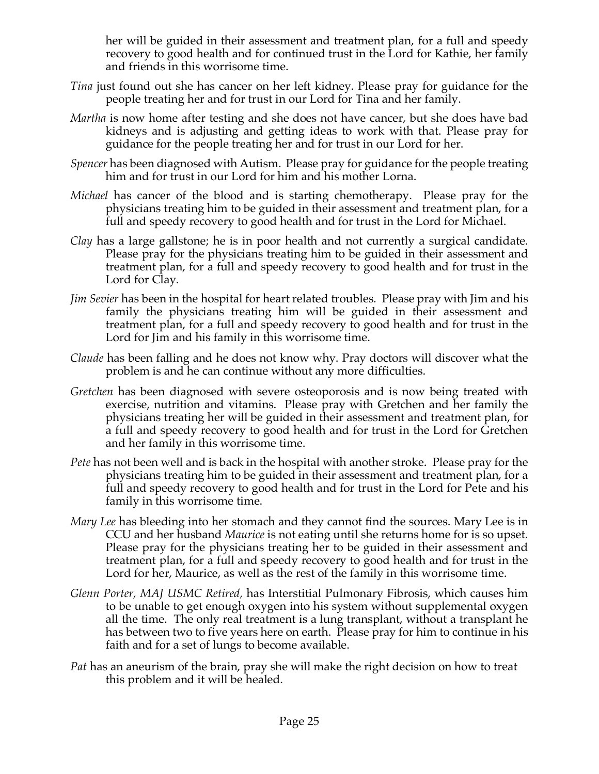her will be guided in their assessment and treatment plan, for a full and speedy recovery to good health and for continued trust in the Lord for Kathie, her family and friends in this worrisome time.

- *Tina* just found out she has cancer on her left kidney. Please pray for guidance for the people treating her and for trust in our Lord for Tina and her family.
- *Martha* is now home after testing and she does not have cancer, but she does have bad kidneys and is adjusting and getting ideas to work with that. Please pray for guidance for the people treating her and for trust in our Lord for her.
- *Spencer* has been diagnosed with Autism. Please pray for guidance for the people treating him and for trust in our Lord for him and his mother Lorna.
- *Michael* has cancer of the blood and is starting chemotherapy. Please pray for the physicians treating him to be guided in their assessment and treatment plan, for a full and speedy recovery to good health and for trust in the Lord for Michael.
- *Clay* has a large gallstone; he is in poor health and not currently a surgical candidate. Please pray for the physicians treating him to be guided in their assessment and treatment plan, for a full and speedy recovery to good health and for trust in the Lord for Clay.
- *Jim Sevier* has been in the hospital for heart related troubles. Please pray with Jim and his family the physicians treating him will be guided in their assessment and treatment plan, for a full and speedy recovery to good health and for trust in the Lord for Jim and his family in this worrisome time.
- *Claude* has been falling and he does not know why. Pray doctors will discover what the problem is and he can continue without any more difficulties.
- *Gretchen* has been diagnosed with severe osteoporosis and is now being treated with exercise, nutrition and vitamins. Please pray with Gretchen and her family the physicians treating her will be guided in their assessment and treatment plan, for a full and speedy recovery to good health and for trust in the Lord for Gretchen and her family in this worrisome time.
- *Pete* has not been well and is back in the hospital with another stroke. Please pray for the physicians treating him to be guided in their assessment and treatment plan, for a full and speedy recovery to good health and for trust in the Lord for Pete and his family in this worrisome time.
- *Mary Lee* has bleeding into her stomach and they cannot find the sources. Mary Lee is in CCU and her husband *Maurice* is not eating until she returns home for is so upset. Please pray for the physicians treating her to be guided in their assessment and treatment plan, for a full and speedy recovery to good health and for trust in the Lord for her, Maurice, as well as the rest of the family in this worrisome time.
- *Glenn Porter, MAJ USMC Retired,* has Interstitial Pulmonary Fibrosis, which causes him to be unable to get enough oxygen into his system without supplemental oxygen all the time. The only real treatment is a lung transplant, without a transplant he has between two to five years here on earth. Please pray for him to continue in his faith and for a set of lungs to become available.
- *Pat* has an aneurism of the brain, pray she will make the right decision on how to treat this problem and it will be healed.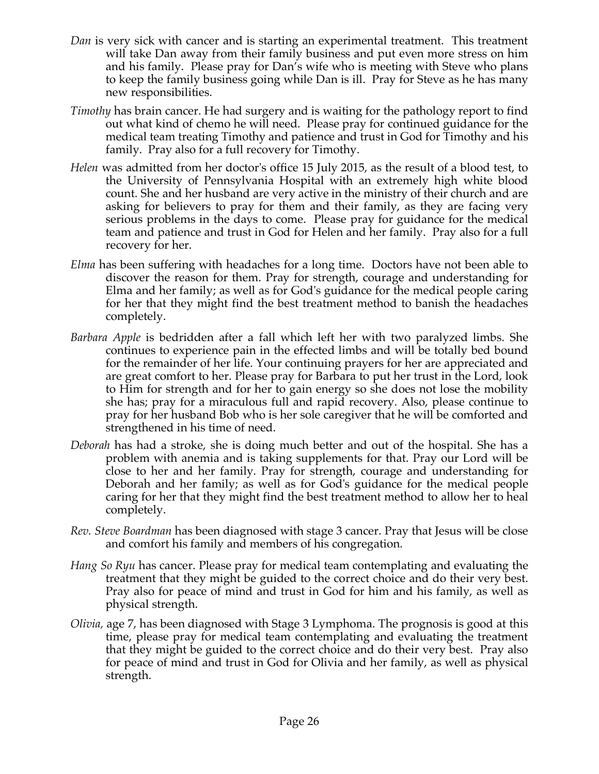- *Dan* is very sick with cancer and is starting an experimental treatment. This treatment will take Dan away from their family business and put even more stress on him and his family. Please pray for Dan's wife who is meeting with Steve who plans to keep the family business going while Dan is ill. Pray for Steve as he has many new responsibilities.
- *Timothy* has brain cancer. He had surgery and is waiting for the pathology report to find out what kind of chemo he will need. Please pray for continued guidance for the medical team treating Timothy and patience and trust in God for Timothy and his family. Pray also for a full recovery for Timothy.
- *Helen* was admitted from her doctor's office 15 July 2015, as the result of a blood test, to the University of Pennsylvania Hospital with an extremely high white blood count. She and her husband are very active in the ministry of their church and are asking for believers to pray for them and their family, as they are facing very serious problems in the days to come. Please pray for guidance for the medical team and patience and trust in God for Helen and her family. Pray also for a full recovery for her.
- *Elma* has been suffering with headaches for a long time. Doctors have not been able to discover the reason for them. Pray for strength, courage and understanding for Elma and her family; as well as for God's guidance for the medical people caring for her that they might find the best treatment method to banish the headaches completely.
- *Barbara Apple* is bedridden after a fall which left her with two paralyzed limbs. She continues to experience pain in the effected limbs and will be totally bed bound for the remainder of her life. Your continuing prayers for her are appreciated and are great comfort to her. Please pray for Barbara to put her trust in the Lord, look to Him for strength and for her to gain energy so she does not lose the mobility she has; pray for a miraculous full and rapid recovery. Also, please continue to pray for her husband Bob who is her sole caregiver that he will be comforted and strengthened in his time of need.
- *Deborah* has had a stroke, she is doing much better and out of the hospital. She has a problem with anemia and is taking supplements for that. Pray our Lord will be close to her and her family. Pray for strength, courage and understanding for Deborah and her family; as well as for God's guidance for the medical people caring for her that they might find the best treatment method to allow her to heal completely.
- *Rev. Steve Boardman* has been diagnosed with stage 3 cancer. Pray that Jesus will be close and comfort his family and members of his congregation*.*
- *Hang So Ryu* has cancer. Please pray for medical team contemplating and evaluating the treatment that they might be guided to the correct choice and do their very best. Pray also for peace of mind and trust in God for him and his family, as well as physical strength.
- *Olivia,* age 7, has been diagnosed with Stage 3 Lymphoma. The prognosis is good at this time, please pray for medical team contemplating and evaluating the treatment that they might be guided to the correct choice and do their very best. Pray also for peace of mind and trust in God for Olivia and her family, as well as physical strength.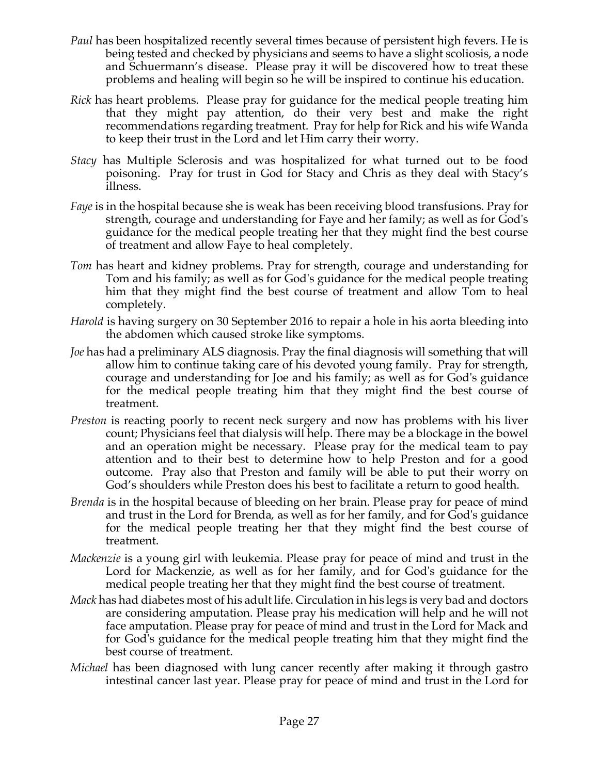- *Paul* has been hospitalized recently several times because of persistent high fevers. He is being tested and checked by physicians and seems to have a slight scoliosis, a node and Schuermann's disease. Please pray it will be discovered how to treat these problems and healing will begin so he will be inspired to continue his education.
- *Rick* has heart problems. Please pray for guidance for the medical people treating him that they might pay attention, do their very best and make the right recommendations regarding treatment. Pray for help for Rick and his wife Wanda to keep their trust in the Lord and let Him carry their worry.
- *Stacy* has Multiple Sclerosis and was hospitalized for what turned out to be food poisoning. Pray for trust in God for Stacy and Chris as they deal with Stacy's illness.
- *Faye* is in the hospital because she is weak has been receiving blood transfusions. Pray for strength, courage and understanding for Faye and her family; as well as for God's guidance for the medical people treating her that they might find the best course of treatment and allow Faye to heal completely.
- *Tom* has heart and kidney problems. Pray for strength, courage and understanding for Tom and his family; as well as for God's guidance for the medical people treating him that they might find the best course of treatment and allow Tom to heal completely.
- *Harold* is having surgery on 30 September 2016 to repair a hole in his aorta bleeding into the abdomen which caused stroke like symptoms.
- *Joe* has had a preliminary ALS diagnosis. Pray the final diagnosis will something that will allow him to continue taking care of his devoted young family. Pray for strength, courage and understanding for Joe and his family; as well as for God's guidance for the medical people treating him that they might find the best course of treatment.
- *Preston* is reacting poorly to recent neck surgery and now has problems with his liver count; Physicians feel that dialysis will help. There may be a blockage in the bowel and an operation might be necessary. Please pray for the medical team to pay attention and to their best to determine how to help Preston and for a good outcome. Pray also that Preston and family will be able to put their worry on God's shoulders while Preston does his best to facilitate a return to good health.
- *Brenda* is in the hospital because of bleeding on her brain. Please pray for peace of mind and trust in the Lord for Brenda, as well as for her family, and for God's guidance for the medical people treating her that they might find the best course of treatment.
- *Mackenzie* is a young girl with leukemia. Please pray for peace of mind and trust in the Lord for Mackenzie, as well as for her family, and for God's guidance for the medical people treating her that they might find the best course of treatment.
- *Mack* has had diabetes most of his adult life. Circulation in his legs is very bad and doctors are considering amputation. Please pray his medication will help and he will not face amputation. Please pray for peace of mind and trust in the Lord for Mack and for God's guidance for the medical people treating him that they might find the best course of treatment.
- *Michael* has been diagnosed with lung cancer recently after making it through gastro intestinal cancer last year. Please pray for peace of mind and trust in the Lord for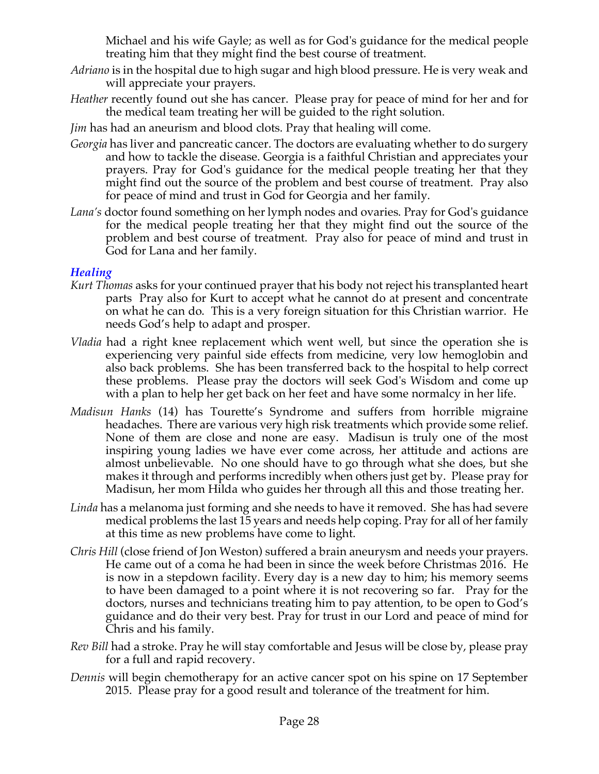Michael and his wife Gayle; as well as for God's guidance for the medical people treating him that they might find the best course of treatment.

- *Adriano* is in the hospital due to high sugar and high blood pressure. He is very weak and will appreciate your prayers.
- *Heather* recently found out she has cancer. Please pray for peace of mind for her and for the medical team treating her will be guided to the right solution.

*Jim* has had an aneurism and blood clots. Pray that healing will come.

- *Georgia* has liver and pancreatic cancer. The doctors are evaluating whether to do surgery and how to tackle the disease. Georgia is a faithful Christian and appreciates your prayers. Pray for God's guidance for the medical people treating her that they might find out the source of the problem and best course of treatment. Pray also for peace of mind and trust in God for Georgia and her family.
- *Lana's* doctor found something on her lymph nodes and ovaries. Pray for God's guidance for the medical people treating her that they might find out the source of the problem and best course of treatment. Pray also for peace of mind and trust in God for Lana and her family.

## *Healing*

- *Kurt Thomas* asks for your continued prayer that his body not reject his transplanted heart parts Pray also for Kurt to accept what he cannot do at present and concentrate on what he can do. This is a very foreign situation for this Christian warrior. He needs God's help to adapt and prosper.
- *Vladia* had a right knee replacement which went well, but since the operation she is experiencing very painful side effects from medicine, very low hemoglobin and also back problems. She has been transferred back to the hospital to help correct these problems. Please pray the doctors will seek God's Wisdom and come up with a plan to help her get back on her feet and have some normalcy in her life.
- *Madisun Hanks* (14) has Tourette's Syndrome and suffers from horrible migraine headaches. There are various very high risk treatments which provide some relief. None of them are close and none are easy. Madisun is truly one of the most inspiring young ladies we have ever come across, her attitude and actions are almost unbelievable. No one should have to go through what she does, but she makes it through and performs incredibly when others just get by. Please pray for Madisun, her mom Hilda who guides her through all this and those treating her.
- *Linda* has a melanoma just forming and she needs to have it removed. She has had severe medical problems the last 15 years and needs help coping. Pray for all of her family at this time as new problems have come to light.
- *Chris Hill* (close friend of Jon Weston) suffered a brain aneurysm and needs your prayers. He came out of a coma he had been in since the week before Christmas 2016. He is now in a stepdown facility. Every day is a new day to him; his memory seems to have been damaged to a point where it is not recovering so far. Pray for the doctors, nurses and technicians treating him to pay attention, to be open to God's guidance and do their very best. Pray for trust in our Lord and peace of mind for Chris and his family.
- *Rev Bill* had a stroke. Pray he will stay comfortable and Jesus will be close by, please pray for a full and rapid recovery.
- *Dennis* will begin chemotherapy for an active cancer spot on his spine on 17 September 2015. Please pray for a good result and tolerance of the treatment for him.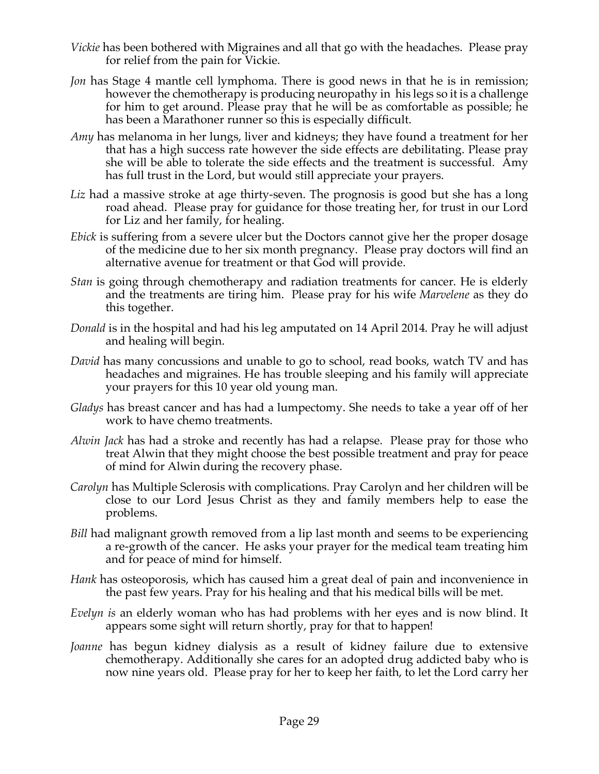- *Vickie* has been bothered with Migraines and all that go with the headaches. Please pray for relief from the pain for Vickie.
- *Jon* has Stage 4 mantle cell lymphoma. There is good news in that he is in remission; however the chemotherapy is producing neuropathy in his legs so it is a challenge for him to get around. Please pray that he will be as comfortable as possible; he has been a Marathoner runner so this is especially difficult.
- *Amy* has melanoma in her lungs, liver and kidneys; they have found a treatment for her that has a high success rate however the side effects are debilitating. Please pray she will be able to tolerate the side effects and the treatment is successful. Amy has full trust in the Lord, but would still appreciate your prayers.
- *Liz* had a massive stroke at age thirty-seven. The prognosis is good but she has a long road ahead. Please pray for guidance for those treating her, for trust in our Lord for Liz and her family, for healing.
- *Ebick* is suffering from a severe ulcer but the Doctors cannot give her the proper dosage of the medicine due to her six month pregnancy. Please pray doctors will find an alternative avenue for treatment or that God will provide.
- *Stan* is going through chemotherapy and radiation treatments for cancer. He is elderly and the treatments are tiring him. Please pray for his wife *Marvelene* as they do this together.
- *Donald* is in the hospital and had his leg amputated on 14 April 2014. Pray he will adjust and healing will begin.
- *David* has many concussions and unable to go to school, read books, watch TV and has headaches and migraines. He has trouble sleeping and his family will appreciate your prayers for this 10 year old young man.
- *Gladys* has breast cancer and has had a lumpectomy. She needs to take a year off of her work to have chemo treatments.
- *Alwin Jack* has had a stroke and recently has had a relapse. Please pray for those who treat Alwin that they might choose the best possible treatment and pray for peace of mind for Alwin during the recovery phase.
- *Carolyn* has Multiple Sclerosis with complications. Pray Carolyn and her children will be close to our Lord Jesus Christ as they and family members help to ease the problems.
- *Bill* had malignant growth removed from a lip last month and seems to be experiencing a re-growth of the cancer. He asks your prayer for the medical team treating him and for peace of mind for himself.
- *Hank* has osteoporosis, which has caused him a great deal of pain and inconvenience in the past few years. Pray for his healing and that his medical bills will be met.
- *Evelyn is* an elderly woman who has had problems with her eyes and is now blind. It appears some sight will return shortly, pray for that to happen!
- *Joanne* has begun kidney dialysis as a result of kidney failure due to extensive chemotherapy. Additionally she cares for an adopted drug addicted baby who is now nine years old. Please pray for her to keep her faith, to let the Lord carry her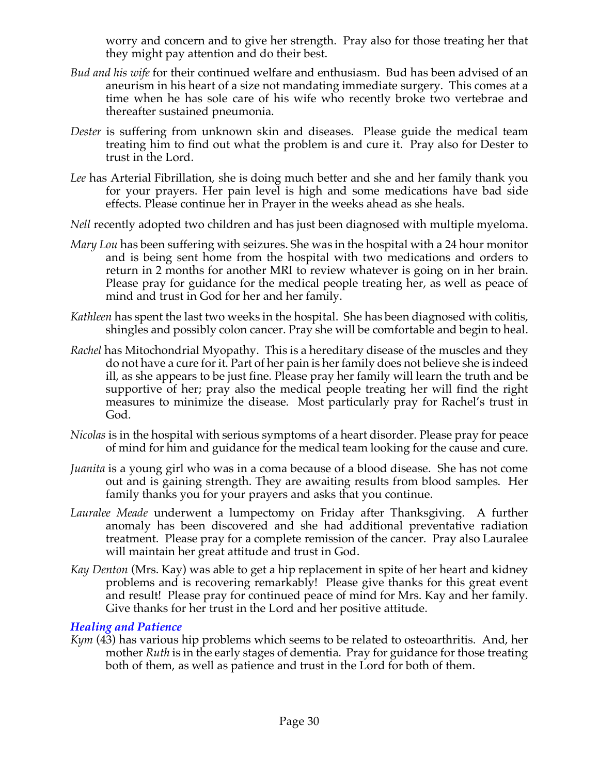worry and concern and to give her strength. Pray also for those treating her that they might pay attention and do their best.

- *Bud and his wife* for their continued welfare and enthusiasm. Bud has been advised of an aneurism in his heart of a size not mandating immediate surgery. This comes at a time when he has sole care of his wife who recently broke two vertebrae and thereafter sustained pneumonia.
- *Dester* is suffering from unknown skin and diseases. Please guide the medical team treating him to find out what the problem is and cure it. Pray also for Dester to trust in the Lord.
- *Lee* has Arterial Fibrillation, she is doing much better and she and her family thank you for your prayers. Her pain level is high and some medications have bad side effects. Please continue her in Prayer in the weeks ahead as she heals.
- *Nell* recently adopted two children and has just been diagnosed with multiple myeloma.
- *Mary Lou* has been suffering with seizures. She was in the hospital with a 24 hour monitor and is being sent home from the hospital with two medications and orders to return in 2 months for another MRI to review whatever is going on in her brain. Please pray for guidance for the medical people treating her, as well as peace of mind and trust in God for her and her family.
- *Kathleen* has spent the last two weeks in the hospital. She has been diagnosed with colitis, shingles and possibly colon cancer. Pray she will be comfortable and begin to heal.
- *Rachel* has Mitochondrial Myopathy. This is a hereditary disease of the muscles and they do not have a cure for it. Part of her pain is her family does not believe she is indeed ill, as she appears to be just fine. Please pray her family will learn the truth and be supportive of her; pray also the medical people treating her will find the right measures to minimize the disease. Most particularly pray for Rachel's trust in God.
- *Nicolas* is in the hospital with serious symptoms of a heart disorder. Please pray for peace of mind for him and guidance for the medical team looking for the cause and cure.
- *Juanita* is a young girl who was in a coma because of a blood disease. She has not come out and is gaining strength. They are awaiting results from blood samples. Her family thanks you for your prayers and asks that you continue.
- *Lauralee Meade* underwent a lumpectomy on Friday after Thanksgiving. A further anomaly has been discovered and she had additional preventative radiation treatment. Please pray for a complete remission of the cancer. Pray also Lauralee will maintain her great attitude and trust in God.
- *Kay Denton* (Mrs. Kay) was able to get a hip replacement in spite of her heart and kidney problems and is recovering remarkably! Please give thanks for this great event and result! Please pray for continued peace of mind for Mrs. Kay and her family. Give thanks for her trust in the Lord and her positive attitude.

### *Healing and Patience*

*Kym* (43) has various hip problems which seems to be related to osteoarthritis. And, her mother *Ruth* is in the early stages of dementia. Pray for guidance for those treating both of them, as well as patience and trust in the Lord for both of them.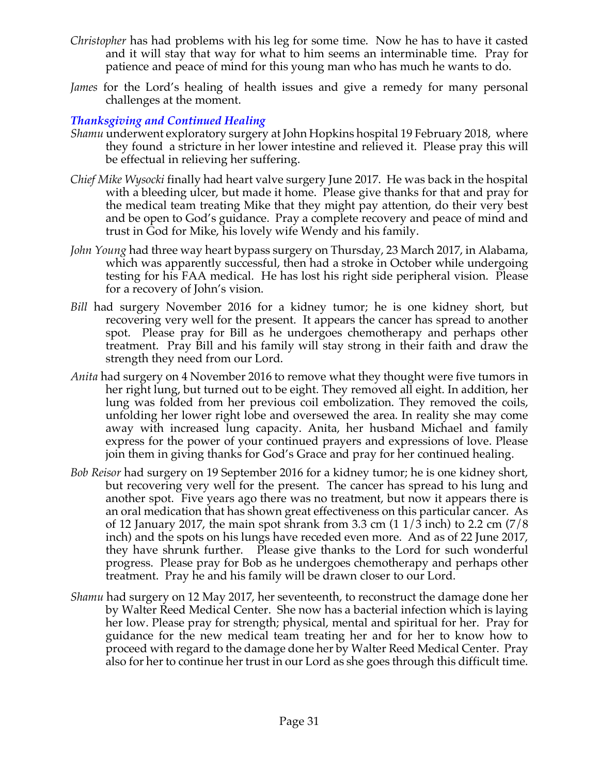- *Christopher* has had problems with his leg for some time. Now he has to have it casted and it will stay that way for what to him seems an interminable time. Pray for patience and peace of mind for this young man who has much he wants to do.
- *James* for the Lord's healing of health issues and give a remedy for many personal challenges at the moment.

## *Thanksgiving and Continued Healing*

- *Shamu* underwent exploratory surgery at John Hopkins hospital 19 February 2018, where they found a stricture in her lower intestine and relieved it. Please pray this will be effectual in relieving her suffering.
- *Chief Mike Wysocki* finally had heart valve surgery June 2017. He was back in the hospital with a bleeding ulcer, but made it home. Please give thanks for that and pray for the medical team treating Mike that they might pay attention, do their very best and be open to God's guidance. Pray a complete recovery and peace of mind and trust in God for Mike, his lovely wife Wendy and his family.
- *John Young* had three way heart bypass surgery on Thursday, 23 March 2017, in Alabama, which was apparently successful, then had a stroke in October while undergoing testing for his FAA medical. He has lost his right side peripheral vision. Please for a recovery of John's vision.
- *Bill* had surgery November 2016 for a kidney tumor; he is one kidney short, but recovering very well for the present. It appears the cancer has spread to another spot. Please pray for Bill as he undergoes chemotherapy and perhaps other treatment. Pray Bill and his family will stay strong in their faith and draw the strength they need from our Lord.
- *Anita* had surgery on 4 November 2016 to remove what they thought were five tumors in her right lung, but turned out to be eight. They removed all eight. In addition, her lung was folded from her previous coil embolization. They removed the coils, unfolding her lower right lobe and oversewed the area. In reality she may come away with increased lung capacity. Anita, her husband Michael and family express for the power of your continued prayers and expressions of love. Please join them in giving thanks for God's Grace and pray for her continued healing.
- *Bob Reisor* had surgery on 19 September 2016 for a kidney tumor; he is one kidney short, but recovering very well for the present. The cancer has spread to his lung and another spot. Five years ago there was no treatment, but now it appears there is an oral medication that has shown great effectiveness on this particular cancer. As of 12 January 2017, the main spot shrank from 3.3 cm  $(11/3 \text{ inch})$  to 2.2 cm  $(7/8 \text{ ft})$ inch) and the spots on his lungs have receded even more. And as of 22 June 2017, they have shrunk further. Please give thanks to the Lord for such wonderful progress. Please pray for Bob as he undergoes chemotherapy and perhaps other treatment. Pray he and his family will be drawn closer to our Lord.
- *Shamu* had surgery on 12 May 2017, her seventeenth, to reconstruct the damage done her by Walter Reed Medical Center. She now has a bacterial infection which is laying her low. Please pray for strength; physical, mental and spiritual for her. Pray for guidance for the new medical team treating her and for her to know how to proceed with regard to the damage done her by Walter Reed Medical Center. Pray also for her to continue her trust in our Lord as she goes through this difficult time.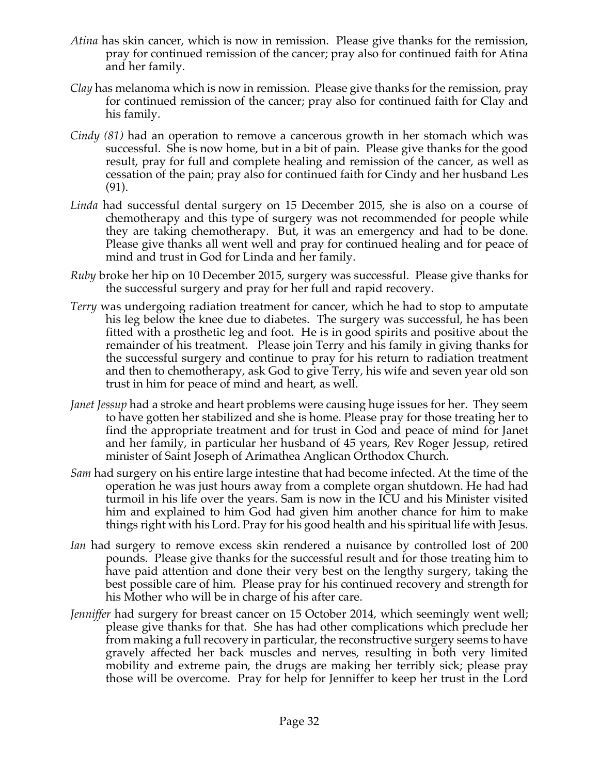- *Atina* has skin cancer, which is now in remission. Please give thanks for the remission, pray for continued remission of the cancer; pray also for continued faith for Atina and her family.
- *Clay* has melanoma which is now in remission. Please give thanks for the remission, pray for continued remission of the cancer; pray also for continued faith for Clay and his family.
- *Cindy (81)* had an operation to remove a cancerous growth in her stomach which was successful. She is now home, but in a bit of pain. Please give thanks for the good result, pray for full and complete healing and remission of the cancer, as well as cessation of the pain; pray also for continued faith for Cindy and her husband Les (91).
- *Linda* had successful dental surgery on 15 December 2015, she is also on a course of chemotherapy and this type of surgery was not recommended for people while they are taking chemotherapy. But, it was an emergency and had to be done. Please give thanks all went well and pray for continued healing and for peace of mind and trust in God for Linda and her family.
- *Ruby* broke her hip on 10 December 2015, surgery was successful. Please give thanks for the successful surgery and pray for her full and rapid recovery.
- *Terry* was undergoing radiation treatment for cancer, which he had to stop to amputate his leg below the knee due to diabetes. The surgery was successful, he has been fitted with a prosthetic leg and foot. He is in good spirits and positive about the remainder of his treatment. Please join Terry and his family in giving thanks for the successful surgery and continue to pray for his return to radiation treatment and then to chemotherapy, ask God to give Terry, his wife and seven year old son trust in him for peace of mind and heart, as well.
- *Janet Jessup* had a stroke and heart problems were causing huge issues for her. They seem to have gotten her stabilized and she is home. Please pray for those treating her to find the appropriate treatment and for trust in God and peace of mind for Janet and her family, in particular her husband of 45 years, Rev Roger Jessup, retired minister of Saint Joseph of Arimathea Anglican Orthodox Church.
- *Sam* had surgery on his entire large intestine that had become infected. At the time of the operation he was just hours away from a complete organ shutdown. He had had turmoil in his life over the years. Sam is now in the ICU and his Minister visited him and explained to him God had given him another chance for him to make things right with his Lord. Pray for his good health and his spiritual life with Jesus.
- *Ian* had surgery to remove excess skin rendered a nuisance by controlled lost of 200 pounds. Please give thanks for the successful result and for those treating him to have paid attention and done their very best on the lengthy surgery, taking the best possible care of him. Please pray for his continued recovery and strength for his Mother who will be in charge of his after care.
- *Jenniffer* had surgery for breast cancer on 15 October 2014, which seemingly went well; please give thanks for that. She has had other complications which preclude her from making a full recovery in particular, the reconstructive surgery seems to have gravely affected her back muscles and nerves, resulting in both very limited mobility and extreme pain, the drugs are making her terribly sick; please pray those will be overcome. Pray for help for Jenniffer to keep her trust in the Lord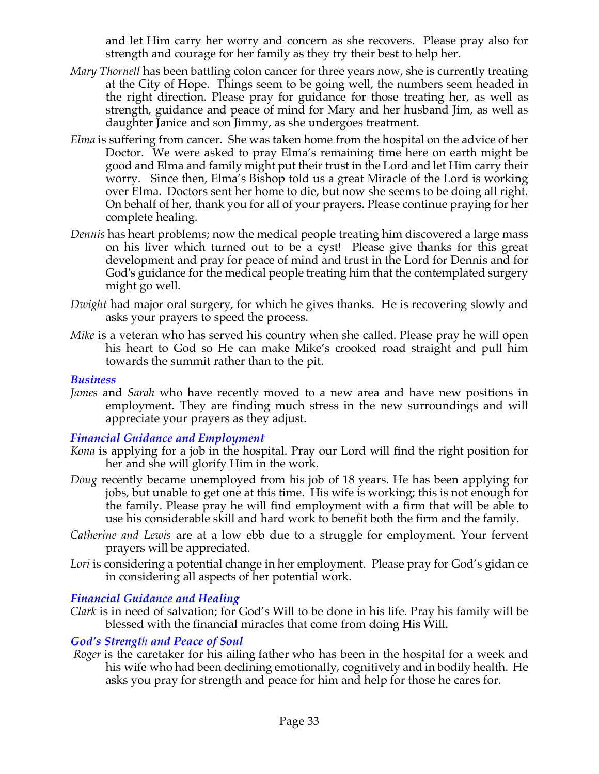and let Him carry her worry and concern as she recovers. Please pray also for strength and courage for her family as they try their best to help her.

- *Mary Thornell* has been battling colon cancer for three years now, she is currently treating at the City of Hope. Things seem to be going well, the numbers seem headed in the right direction. Please pray for guidance for those treating her, as well as strength, guidance and peace of mind for Mary and her husband Jim, as well as daughter Janice and son Jimmy, as she undergoes treatment.
- *Elma* is suffering from cancer. She was taken home from the hospital on the advice of her Doctor. We were asked to pray Elma's remaining time here on earth might be good and Elma and family might put their trust in the Lord and let Him carry their worry. Since then, Elma's Bishop told us a great Miracle of the Lord is working over Elma. Doctors sent her home to die, but now she seems to be doing all right. On behalf of her, thank you for all of your prayers. Please continue praying for her complete healing.
- *Dennis* has heart problems; now the medical people treating him discovered a large mass on his liver which turned out to be a cyst! Please give thanks for this great development and pray for peace of mind and trust in the Lord for Dennis and for God's guidance for the medical people treating him that the contemplated surgery might go well.
- *Dwight* had major oral surgery, for which he gives thanks. He is recovering slowly and asks your prayers to speed the process.
- *Mike* is a veteran who has served his country when she called. Please pray he will open his heart to God so He can make Mike's crooked road straight and pull him towards the summit rather than to the pit.

### *Business*

*James* and *Sarah* who have recently moved to a new area and have new positions in employment. They are finding much stress in the new surroundings and will appreciate your prayers as they adjust.

### *Financial Guidance and Employment*

- *Kona* is applying for a job in the hospital. Pray our Lord will find the right position for her and she will glorify Him in the work.
- *Doug* recently became unemployed from his job of 18 years. He has been applying for jobs, but unable to get one at this time. His wife is working; this is not enough for the family. Please pray he will find employment with a firm that will be able to use his considerable skill and hard work to benefit both the firm and the family.
- *Catherine and Lewis* are at a low ebb due to a struggle for employment. Your fervent prayers will be appreciated.
- Lori is considering a potential change in her employment. Please pray for God's gidan ce in considering all aspects of her potential work.

## *Financial Guidance and Healing*

*Clark* is in need of salvation; for God's Will to be done in his life. Pray his family will be blessed with the financial miracles that come from doing His Will.

## *God's Strength and Peace of Soul*

*Roger* is the caretaker for his ailing father who has been in the hospital for a week and his wife who had been declining emotionally, cognitively and in bodily health. He asks you pray for strength and peace for him and help for those he cares for.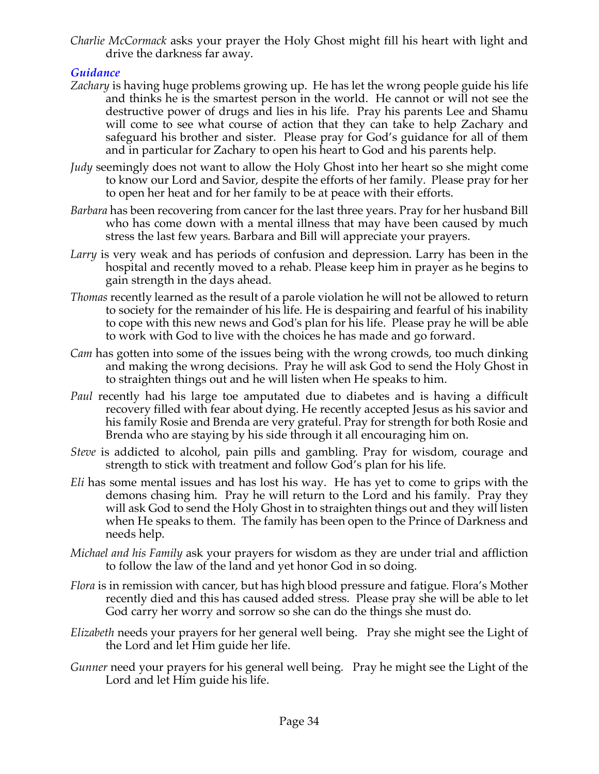*Charlie McCormack* asks your prayer the Holy Ghost might fill his heart with light and drive the darkness far away.

# *Guidance*

- *Zachary* is having huge problems growing up. He has let the wrong people guide his life and thinks he is the smartest person in the world. He cannot or will not see the destructive power of drugs and lies in his life. Pray his parents Lee and Shamu will come to see what course of action that they can take to help Zachary and safeguard his brother and sister. Please pray for God's guidance for all of them and in particular for Zachary to open his heart to God and his parents help.
- *Judy* seemingly does not want to allow the Holy Ghost into her heart so she might come to know our Lord and Savior, despite the efforts of her family. Please pray for her to open her heat and for her family to be at peace with their efforts.
- *Barbara* has been recovering from cancer for the last three years. Pray for her husband Bill who has come down with a mental illness that may have been caused by much stress the last few years. Barbara and Bill will appreciate your prayers.
- *Larry* is very weak and has periods of confusion and depression. Larry has been in the hospital and recently moved to a rehab. Please keep him in prayer as he begins to gain strength in the days ahead.
- *Thomas* recently learned as the result of a parole violation he will not be allowed to return to society for the remainder of his life. He is despairing and fearful of his inability to cope with this new news and God's plan for his life. Please pray he will be able to work with God to live with the choices he has made and go forward.
- *Cam* has gotten into some of the issues being with the wrong crowds, too much dinking and making the wrong decisions. Pray he will ask God to send the Holy Ghost in to straighten things out and he will listen when He speaks to him.
- *Paul* recently had his large toe amputated due to diabetes and is having a difficult recovery filled with fear about dying. He recently accepted Jesus as his savior and his family Rosie and Brenda are very grateful. Pray for strength for both Rosie and Brenda who are staying by his side through it all encouraging him on.
- *Steve* is addicted to alcohol, pain pills and gambling. Pray for wisdom, courage and strength to stick with treatment and follow God's plan for his life.
- *Eli* has some mental issues and has lost his way. He has yet to come to grips with the demons chasing him. Pray he will return to the Lord and his family. Pray they will ask God to send the Holy Ghost in to straighten things out and they will listen when He speaks to them. The family has been open to the Prince of Darkness and needs help.
- *Michael and his Family* ask your prayers for wisdom as they are under trial and affliction to follow the law of the land and yet honor God in so doing.
- *Flora* is in remission with cancer, but has high blood pressure and fatigue. Flora's Mother recently died and this has caused added stress. Please pray she will be able to let God carry her worry and sorrow so she can do the things she must do.
- *Elizabeth* needs your prayers for her general well being. Pray she might see the Light of the Lord and let Him guide her life.
- *Gunner* need your prayers for his general well being. Pray he might see the Light of the Lord and let Him guide his life.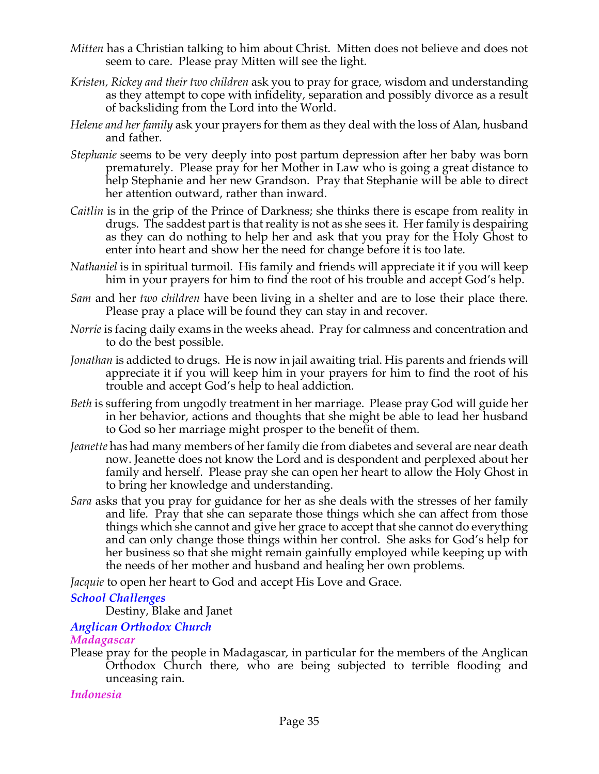- *Mitten* has a Christian talking to him about Christ. Mitten does not believe and does not seem to care. Please pray Mitten will see the light.
- *Kristen, Rickey and their two children* ask you to pray for grace, wisdom and understanding as they attempt to cope with infidelity, separation and possibly divorce as a result of backsliding from the Lord into the World.
- *Helene and her family* ask your prayers for them as they deal with the loss of Alan, husband and father.
- *Stephanie* seems to be very deeply into post partum depression after her baby was born prematurely. Please pray for her Mother in Law who is going a great distance to help Stephanie and her new Grandson. Pray that Stephanie will be able to direct her attention outward, rather than inward.
- *Caitlin* is in the grip of the Prince of Darkness; she thinks there is escape from reality in drugs. The saddest part is that reality is not as she sees it. Her family is despairing as they can do nothing to help her and ask that you pray for the Holy Ghost to enter into heart and show her the need for change before it is too late.
- *Nathaniel* is in spiritual turmoil. His family and friends will appreciate it if you will keep him in your prayers for him to find the root of his trouble and accept God's help.
- *Sam* and her *two children* have been living in a shelter and are to lose their place there. Please pray a place will be found they can stay in and recover.
- *Norrie* is facing daily exams in the weeks ahead. Pray for calmness and concentration and to do the best possible.
- *Jonathan* is addicted to drugs. He is now in jail awaiting trial. His parents and friends will appreciate it if you will keep him in your prayers for him to find the root of his trouble and accept God's help to heal addiction.
- *Beth* is suffering from ungodly treatment in her marriage. Please pray God will guide her in her behavior, actions and thoughts that she might be able to lead her husband to God so her marriage might prosper to the benefit of them.
- *Jeanette* has had many members of her family die from diabetes and several are near death now. Jeanette does not know the Lord and is despondent and perplexed about her family and herself. Please pray she can open her heart to allow the Holy Ghost in to bring her knowledge and understanding.
- *Sara* asks that you pray for guidance for her as she deals with the stresses of her family and life. Pray that she can separate those things which she can affect from those things which she cannot and give her grace to accept that she cannot do everything and can only change those things within her control. She asks for God's help for her business so that she might remain gainfully employed while keeping up with the needs of her mother and husband and healing her own problems.

*Jacquie* to open her heart to God and accept His Love and Grace.

# *School Challenges*

Destiny, Blake and Janet

# *Anglican Orthodox Church*

*Madagascar*

Please pray for the people in Madagascar, in particular for the members of the Anglican Orthodox Church there, who are being subjected to terrible flooding and unceasing rain.

## *Indonesia*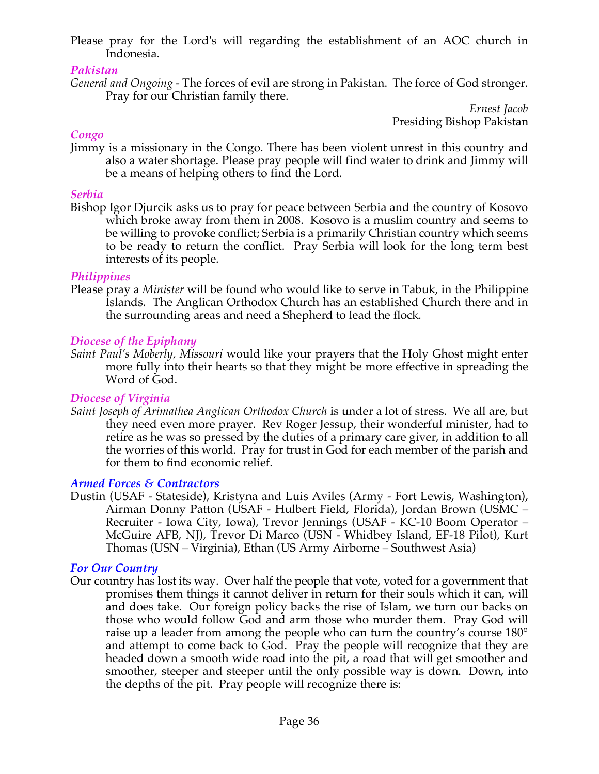Please pray for the Lord's will regarding the establishment of an AOC church in Indonesia.

## *Pakistan*

*General and Ongoing -* The forces of evil are strong in Pakistan. The force of God stronger. Pray for our Christian family there.

*Ernest Jacob* Presiding Bishop Pakistan

## *Congo*

Jimmy is a missionary in the Congo. There has been violent unrest in this country and also a water shortage. Please pray people will find water to drink and Jimmy will be a means of helping others to find the Lord.

## *Serbia*

Bishop Igor Djurcik asks us to pray for peace between Serbia and the country of Kosovo which broke away from them in 2008. Kosovo is a muslim country and seems to be willing to provoke conflict; Serbia is a primarily Christian country which seems to be ready to return the conflict. Pray Serbia will look for the long term best interests of its people.

## *Philippines*

Please pray a *Minister* will be found who would like to serve in Tabuk, in the Philippine Islands. The Anglican Orthodox Church has an established Church there and in the surrounding areas and need a Shepherd to lead the flock*.*

## *Diocese of the Epiphany*

*Saint Paul's Moberly, Missouri* would like your prayers that the Holy Ghost might enter more fully into their hearts so that they might be more effective in spreading the Word of God.

## *Diocese of Virginia*

*Saint Joseph of Arimathea Anglican Orthodox Church* is under a lot of stress. We all are, but they need even more prayer. Rev Roger Jessup, their wonderful minister, had to retire as he was so pressed by the duties of a primary care giver, in addition to all the worries of this world. Pray for trust in God for each member of the parish and for them to find economic relief.

### *Armed Forces & Contractors*

Dustin (USAF - Stateside), Kristyna and Luis Aviles (Army - Fort Lewis, Washington), Airman Donny Patton (USAF - Hulbert Field, Florida), Jordan Brown (USMC – Recruiter - Iowa City, Iowa), Trevor Jennings (USAF - KC-10 Boom Operator – McGuire AFB, NJ), Trevor Di Marco (USN - Whidbey Island, EF-18 Pilot), Kurt Thomas (USN – Virginia), Ethan (US Army Airborne – Southwest Asia)

### *For Our Country*

Our country has lost its way. Over half the people that vote, voted for a government that promises them things it cannot deliver in return for their souls which it can, will and does take. Our foreign policy backs the rise of Islam, we turn our backs on those who would follow God and arm those who murder them. Pray God will raise up a leader from among the people who can turn the country's course 180° and attempt to come back to God. Pray the people will recognize that they are headed down a smooth wide road into the pit, a road that will get smoother and smoother, steeper and steeper until the only possible way is down. Down, into the depths of the pit. Pray people will recognize there is: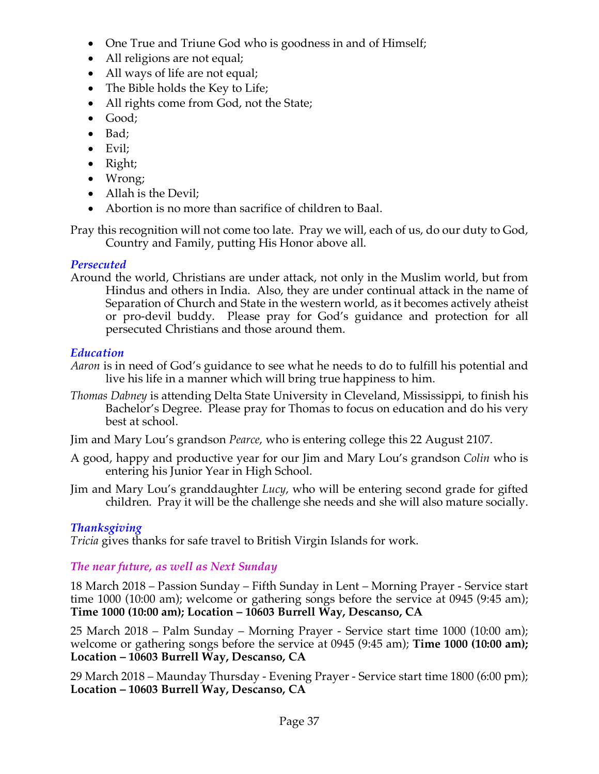- One True and Triune God who is goodness in and of Himself;
- All religions are not equal;
- All ways of life are not equal;
- The Bible holds the Key to Life;
- All rights come from God, not the State;
- Good;
- Bad;
- Evil;
- Right;
- Wrong;
- Allah is the Devil;
- Abortion is no more than sacrifice of children to Baal.

Pray this recognition will not come too late. Pray we will, each of us, do our duty to God, Country and Family, putting His Honor above all.

## *Persecuted*

Around the world, Christians are under attack, not only in the Muslim world, but from Hindus and others in India. Also, they are under continual attack in the name of Separation of Church and State in the western world, as it becomes actively atheist or pro-devil buddy. Please pray for God's guidance and protection for all persecuted Christians and those around them.

# *Education*

- *Aaron* is in need of God's guidance to see what he needs to do to fulfill his potential and live his life in a manner which will bring true happiness to him.
- *Thomas Dabney* is attending Delta State University in Cleveland, Mississippi, to finish his Bachelor's Degree. Please pray for Thomas to focus on education and do his very best at school.
- Jim and Mary Lou's grandson *Pearce*, who is entering college this 22 August 2107.
- A good, happy and productive year for our Jim and Mary Lou's grandson *Colin* who is entering his Junior Year in High School.
- Jim and Mary Lou's granddaughter *Lucy*, who will be entering second grade for gifted children. Pray it will be the challenge she needs and she will also mature socially.

# *Thanksgiving*

*Tricia* gives thanks for safe travel to British Virgin Islands for work.

# *The near future, as well as Next Sunday*

18 March 2018 – Passion Sunday – Fifth Sunday in Lent – Morning Prayer - Service start time 1000 (10:00 am); welcome or gathering songs before the service at 0945 (9:45 am); **Time 1000 (10:00 am); Location – 10603 Burrell Way, Descanso, CA**

25 March 2018 – Palm Sunday – Morning Prayer - Service start time 1000 (10:00 am); welcome or gathering songs before the service at 0945 (9:45 am); **Time 1000 (10:00 am); Location – 10603 Burrell Way, Descanso, CA**

29 March 2018 – Maunday Thursday - Evening Prayer - Service start time 1800 (6:00 pm); **Location – 10603 Burrell Way, Descanso, CA**